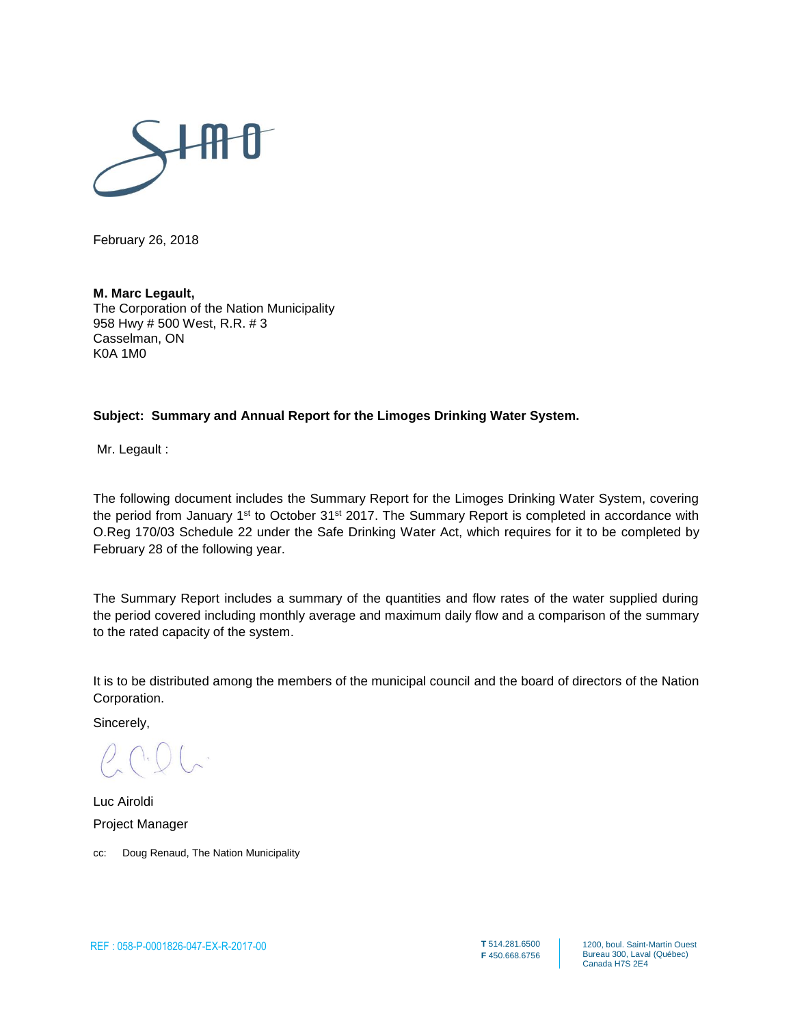

February 26, 2018

#### **M. Marc Legault,**

The Corporation of the Nation Municipality 958 Hwy # 500 West, R.R. # 3 Casselman, ON K0A 1M0

#### **Subject: Summary and Annual Report for the Limoges Drinking Water System.**

Mr. Legault :

The following document includes the Summary Report for the Limoges Drinking Water System, covering the period from January 1st to October 31st 2017. The Summary Report is completed in accordance with O.Reg 170/03 Schedule 22 under the Safe Drinking Water Act, which requires for it to be completed by February 28 of the following year.

The Summary Report includes a summary of the quantities and flow rates of the water supplied during the period covered including monthly average and maximum daily flow and a comparison of the summary to the rated capacity of the system.

It is to be distributed among the members of the municipal council and the board of directors of the Nation Corporation.

Sincerely,

Luc Airoldi Project Manager

cc: Doug Renaud, The Nation Municipality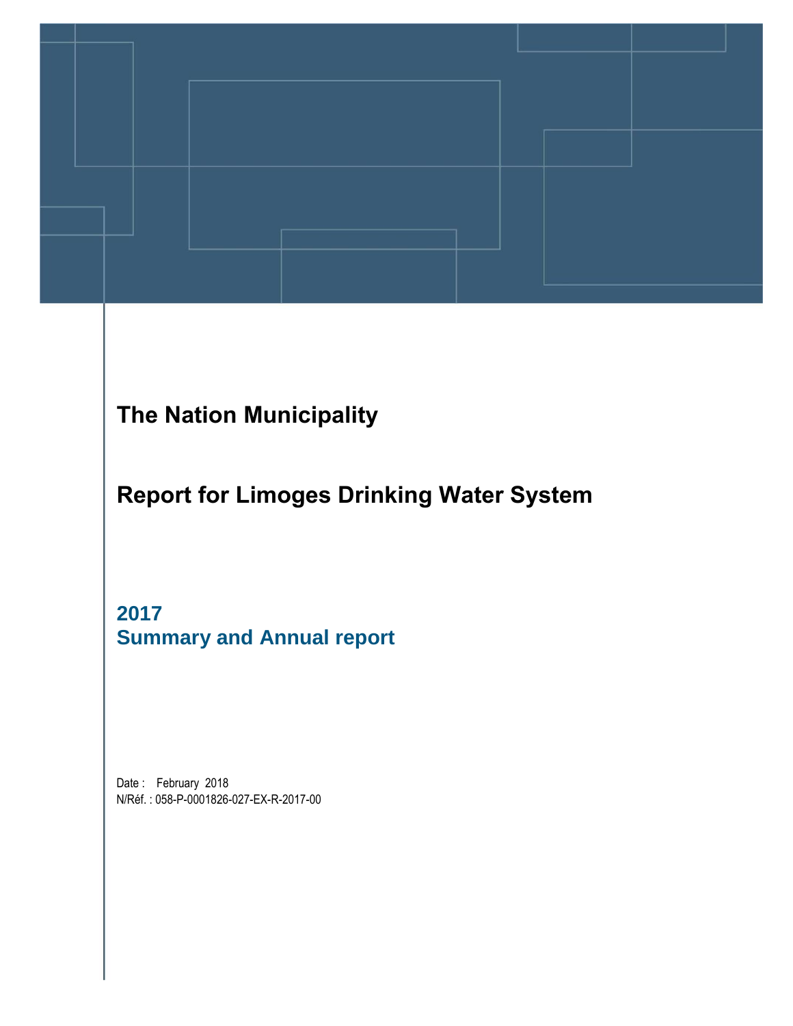

# The Nation Municipality

Report for Limoges Drinking Water System

**2017 Summary and Annual report** 

Date: February 2018 N/Réf. : 058-P-0001826-027-EX-R-2017-00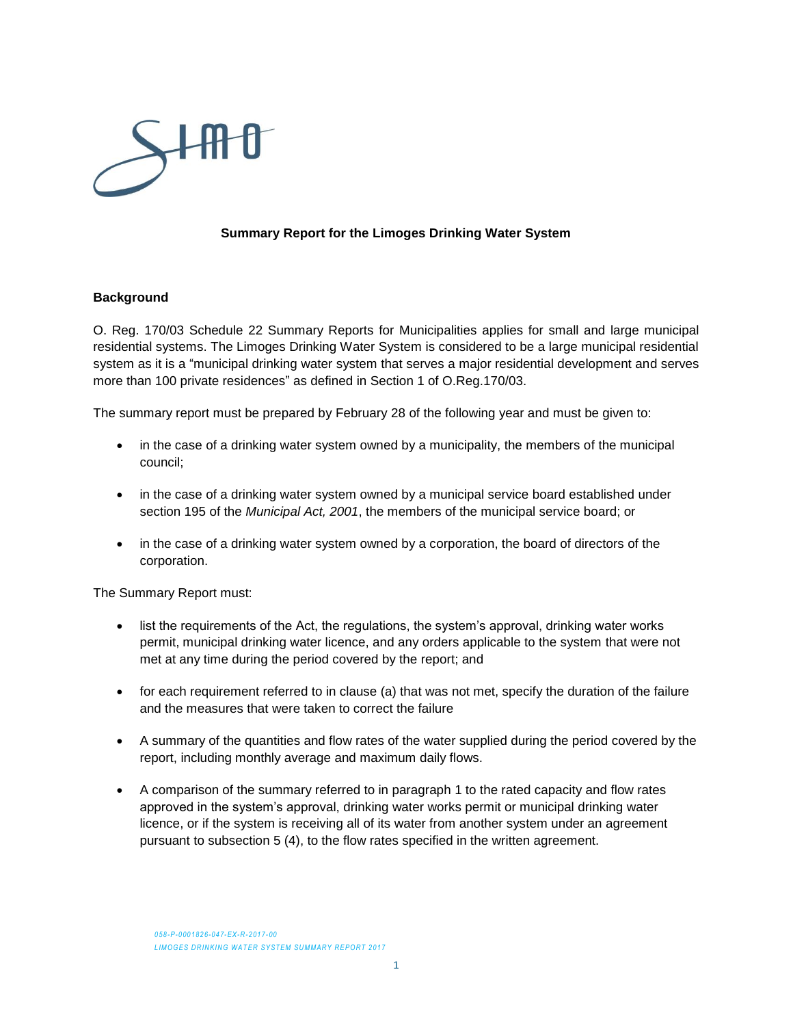

#### **Summary Report for the Limoges Drinking Water System**

#### **Background**

O. Reg. 170/03 Schedule 22 Summary Reports for Municipalities applies for small and large municipal residential systems. The Limoges Drinking Water System is considered to be a large municipal residential system as it is a "municipal drinking water system that serves a major residential development and serves more than 100 private residences" as defined in Section 1 of O.Reg.170/03.

The summary report must be prepared by February 28 of the following year and must be given to:

- in the case of a drinking water system owned by a municipality, the members of the municipal council;
- in the case of a drinking water system owned by a municipal service board established under section 195 of the *Municipal Act, 2001*, the members of the municipal service board; or
- in the case of a drinking water system owned by a corporation, the board of directors of the corporation.

The Summary Report must:

- list the requirements of the Act, the regulations, the system's approval, drinking water works permit, municipal drinking water licence, and any orders applicable to the system that were not met at any time during the period covered by the report; and
- for each requirement referred to in clause (a) that was not met, specify the duration of the failure and the measures that were taken to correct the failure
- A summary of the quantities and flow rates of the water supplied during the period covered by the report, including monthly average and maximum daily flows.
- A comparison of the summary referred to in paragraph 1 to the rated capacity and flow rates approved in the system's approval, drinking water works permit or municipal drinking water licence, or if the system is receiving all of its water from another system under an agreement pursuant to subsection 5 (4), to the flow rates specified in the written agreement.

*058-P-0001826-047-EX-R-2017-00* **LIMOGES DRINKING WATER SYSTEM SUMMARY REPORT 2017**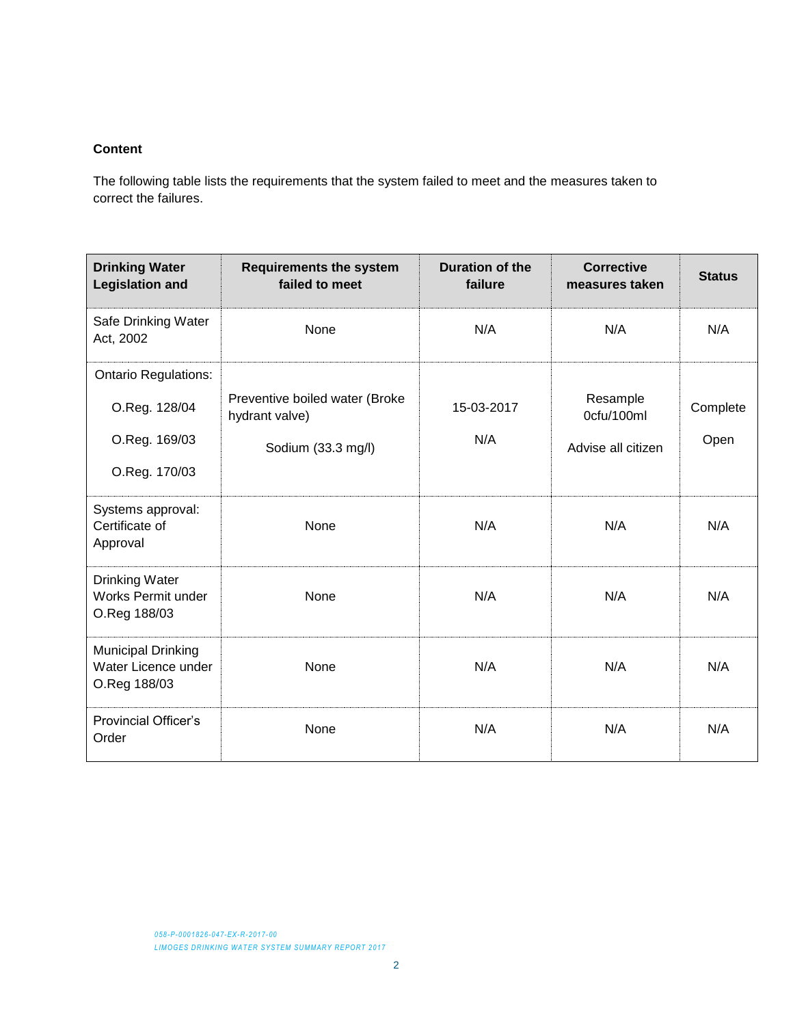#### **Content**

The following table lists the requirements that the system failed to meet and the measures taken to correct the failures.

| <b>Drinking Water</b><br><b>Legislation and</b>                                | <b>Requirements the system</b><br>failed to meet                       | Duration of the<br>failure | <b>Corrective</b><br>measures taken          | <b>Status</b>    |
|--------------------------------------------------------------------------------|------------------------------------------------------------------------|----------------------------|----------------------------------------------|------------------|
| Safe Drinking Water<br>Act, 2002                                               | None                                                                   | N/A                        | N/A                                          | N/A              |
| <b>Ontario Regulations:</b><br>O.Reg. 128/04<br>O.Reg. 169/03<br>O.Reg. 170/03 | Preventive boiled water (Broke<br>hydrant valve)<br>Sodium (33.3 mg/l) | 15-03-2017<br>N/A          | Resample<br>0cfu/100ml<br>Advise all citizen | Complete<br>Open |
| Systems approval:<br>Certificate of<br>Approval                                | None                                                                   | N/A                        | N/A                                          | N/A              |
| <b>Drinking Water</b><br><b>Works Permit under</b><br>O.Reg 188/03             | None                                                                   | N/A                        | N/A                                          | N/A              |
| Municipal Drinking<br>Water Licence under<br>O.Reg 188/03                      | None                                                                   | N/A                        | N/A                                          | N/A              |
| <b>Provincial Officer's</b><br>Order                                           | None                                                                   | N/A                        | N/A                                          | N/A              |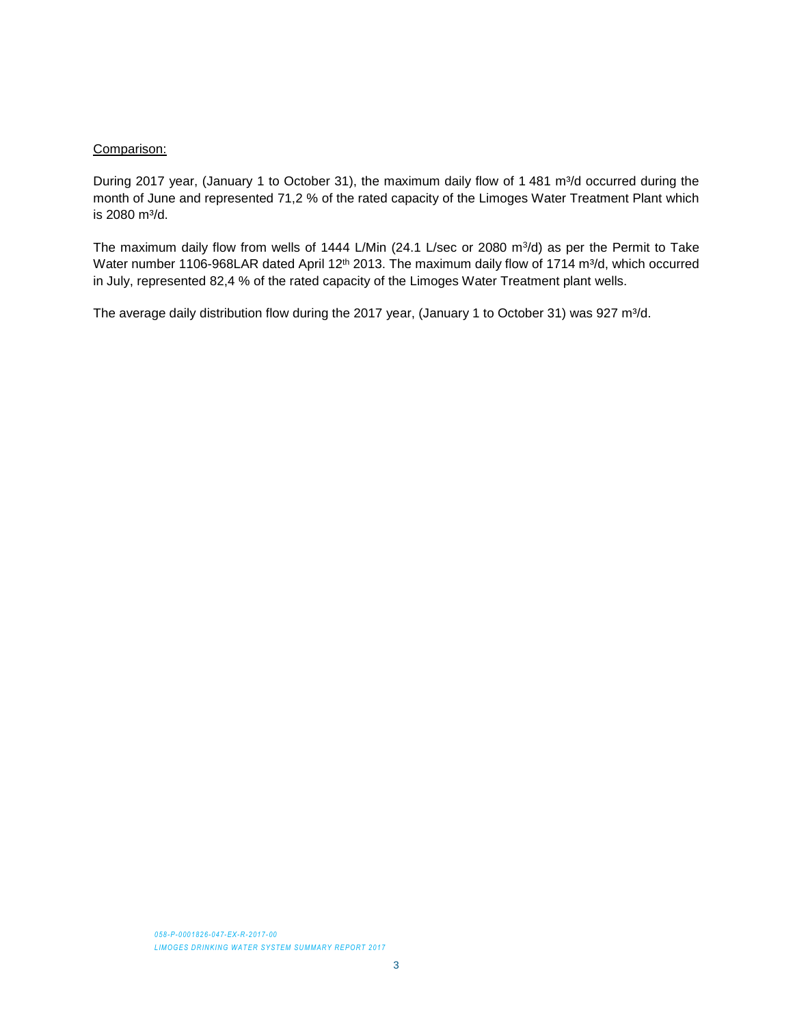#### Comparison:

During 2017 year, (January 1 to October 31), the maximum daily flow of 1 481 m<sup>3</sup>/d occurred during the month of June and represented 71,2 % of the rated capacity of the Limoges Water Treatment Plant which is 2080 m<sup>3</sup>/d.

The maximum daily flow from wells of 1444 L/Min (24.1 L/sec or 2080 m<sup>3</sup>/d) as per the Permit to Take Water number 1106-968LAR dated April 12<sup>th</sup> 2013. The maximum daily flow of 1714 m<sup>3</sup>/d, which occurred in July, represented 82,4 % of the rated capacity of the Limoges Water Treatment plant wells.

The average daily distribution flow during the 2017 year, (January 1 to October 31) was 927 m<sup>3</sup>/d.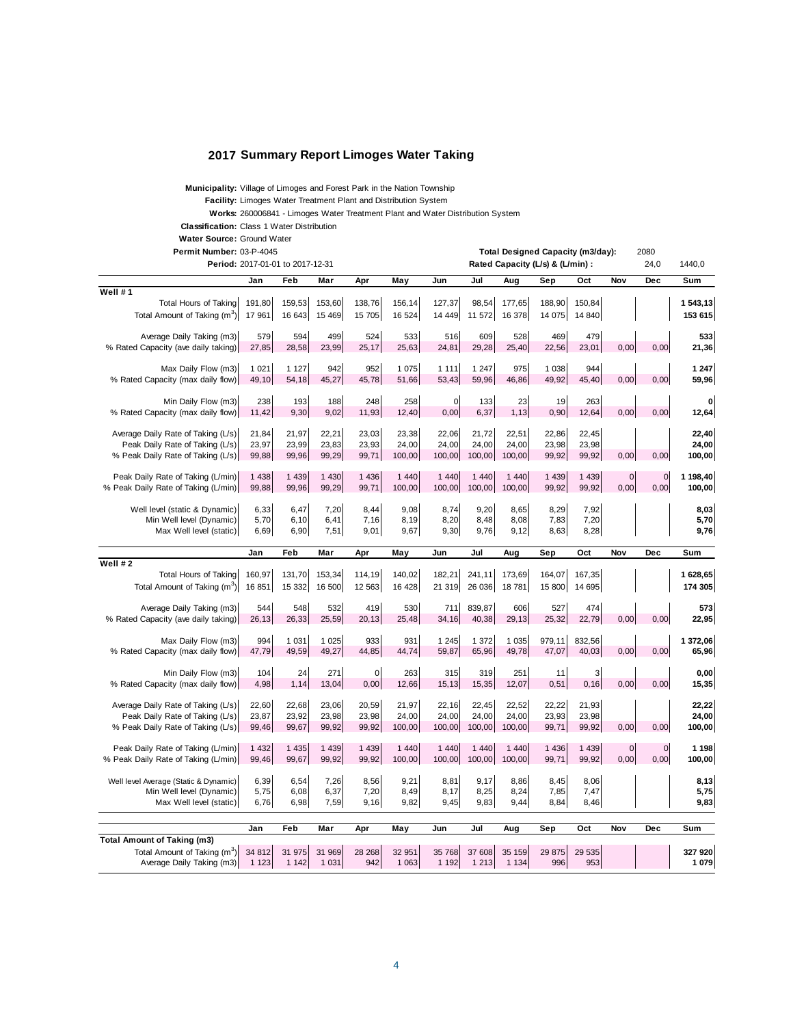#### **2017 Summary Report Limoges Water Taking**

**Municipality:** Village of Limoges and Forest Park in the Nation Township

**Facility:** Limoges Water Treatment Plant and Distribution System

**Works:** 260006841 - Limoges Water Treatment Plant and Water Distribution System

**Classification:** Class 1 Water Distribution

**Water Source:** Ground Water

Permit Number: 03-P-4045

| Permit Number: 03-P-4045                 |         |                                  |         |             |         |         |         |         | Total Designed Capacity (m3/day): |         |             | 2080           |          |
|------------------------------------------|---------|----------------------------------|---------|-------------|---------|---------|---------|---------|-----------------------------------|---------|-------------|----------------|----------|
|                                          |         | Period: 2017-01-01 to 2017-12-31 |         |             |         |         |         |         | Rated Capacity (L/s) & (L/min) :  |         |             | 24,0           | 1440,0   |
|                                          | Jan     | Feb                              | Mar     | Apr         | May     | Jun     | Jul     | Aug     | Sep                               | Oct     | Nov         | Dec            | Sum      |
| Well #1                                  |         |                                  |         |             |         |         |         |         |                                   |         |             |                |          |
| <b>Total Hours of Taking</b>             | 191,80  | 159,53                           | 153,60  | 138,76      | 156,14  | 127,37  | 98,54   | 177,65  | 188,90                            | 150,84  |             |                | 1 543,13 |
| Total Amount of Taking (m <sup>3</sup> ) | 17 961  | 16 643                           | 15 4 69 | 15 705      | 16 5 24 | 14 4 49 | 11 572  | 16 378  | 14 075                            | 14 840  |             |                | 153 615  |
|                                          |         |                                  |         |             |         |         |         |         |                                   |         |             |                |          |
| Average Daily Taking (m3)                | 579     | 594                              | 499     | 524         | 533     | 516     | 609     | 528     | 469                               | 479     |             |                | 533      |
| % Rated Capacity (ave daily taking)      | 27,85   | 28,58                            | 23,99   | 25,17       | 25,63   | 24,81   | 29,28   | 25,40   | 22,56                             | 23,01   | 0,00        | 0,00           | 21,36    |
|                                          |         |                                  |         |             |         |         |         |         |                                   |         |             |                |          |
| Max Daily Flow (m3)                      | 1 0 2 1 | 1 1 2 7                          | 942     | 952         | 1 0 7 5 | 1 1 1 1 | 1 2 4 7 | 975     | 1 0 38                            | 944     |             |                | 1 247    |
| % Rated Capacity (max daily flow)        | 49,10   | 54,18                            | 45,27   | 45,78       | 51,66   | 53,43   | 59,96   | 46,86   | 49,92                             | 45,40   | 0,00        | 0,00           | 59,96    |
|                                          |         |                                  |         |             |         |         |         |         |                                   |         |             |                |          |
| Min Daily Flow (m3)                      | 238     | 193                              | 188     | 248         | 258     | 0       | 133     | 23      | 19                                | 263     |             |                | $\bf o$  |
| % Rated Capacity (max daily flow)        | 11,42   | 9,30                             | 9,02    | 11,93       | 12,40   | 0,00    | 6,37    | 1,13    | 0,90                              | 12,64   | 0,00        | 0,00           | 12,64    |
|                                          |         |                                  |         |             |         |         |         |         |                                   |         |             |                |          |
| Average Daily Rate of Taking (L/s)       | 21,84   | 21,97                            | 22,21   | 23,03       | 23,38   | 22,06   | 21,72   | 22,51   | 22,86                             | 22,45   |             |                | 22,40    |
| Peak Daily Rate of Taking (L/s)          | 23,97   | 23,99                            | 23,83   | 23,93       | 24,00   | 24,00   | 24,00   | 24,00   | 23,98                             | 23,98   |             |                | 24,00    |
| % Peak Daily Rate of Taking (L/s)        | 99,88   | 99,96                            | 99,29   | 99,71       | 100,00  | 100,00  | 100,00  | 100,00  | 99,92                             | 99,92   | 0,00        | 0,00           | 100,00   |
|                                          |         |                                  |         |             |         |         |         |         |                                   |         |             |                |          |
| Peak Daily Rate of Taking (L/min)        | 1 4 3 8 | 1 4 3 9                          | 1 4 3 0 | 1 4 3 6     | 1 4 4 0 | 1 4 4 0 | 1 4 4 0 | 1 4 4 0 | 1 4 3 9                           | 1 4 3 9 | $\mathbf 0$ | $\mathbf 0$    | 1 198,40 |
| % Peak Daily Rate of Taking (L/min)      | 99,88   | 99,96                            | 99,29   | 99,71       | 100,00  | 100,00  | 100,00  | 100,00  | 99,92                             | 99,92   | 0,00        | 0,00           | 100,00   |
|                                          |         |                                  |         |             |         |         |         |         |                                   |         |             |                |          |
| Well level (static & Dynamic)            | 6,33    | 6,47                             | 7,20    | 8,44        | 9,08    | 8,74    | 9,20    | 8,65    | 8,29                              | 7,92    |             |                | 8,03     |
| Min Well level (Dynamic)                 | 5.70    | 6, 10                            | 6,41    | 7,16        | 8,19    | 8,20    | 8,48    | 8.08    | 7,83                              | 7,20    |             |                | 5,70     |
| Max Well level (static)                  | 6,69    | 6,90                             | 7,51    | 9,01        | 9,67    | 9,30    | 9,76    | 9,12    | 8,63                              | 8,28    |             |                | 9,76     |
|                                          |         |                                  |         |             |         |         |         |         |                                   |         |             |                |          |
|                                          | Jan     | Feb                              | Mar     | Apr         | May     | Jun     | Jul     | Aug     | Sep                               | Oct     | Nov         | Dec            | Sum      |
| Well #2                                  |         |                                  |         |             |         |         |         |         |                                   |         |             |                |          |
| <b>Total Hours of Taking</b>             | 160,97  | 131,70                           | 153,34  | 114,19      | 140,02  | 182,21  | 241,11  | 173,69  | 164,07                            | 167,35  |             |                | 1 628,65 |
| Total Amount of Taking (m <sup>3</sup> ) | 16 851  | 15 332                           | 16 500  | 12 5 63     | 16 4 28 | 21 319  | 26 036  | 18781   | 15 800                            | 14 695  |             |                | 174 305  |
|                                          |         |                                  |         |             |         |         |         |         |                                   |         |             |                |          |
| Average Daily Taking (m3)                | 544     | 548                              | 532     | 419         | 530     | 711     | 839,87  | 606     | 527                               | 474     |             |                | 573      |
| % Rated Capacity (ave daily taking)      | 26,13   | 26,33                            | 25,59   | 20,13       | 25,48   | 34,16   | 40,38   | 29,13   | 25,32                             | 22,79   | 0,00        | 0,00           | 22,95    |
|                                          |         |                                  |         |             |         |         |         |         |                                   |         |             |                |          |
| Max Daily Flow (m3)                      | 994     | 1 0 3 1                          | 1 0 2 5 | 933         | 931     | 1 2 4 5 | 1 372   | 1 0 3 5 | 979,11                            | 832,56  |             |                | 1 372,06 |
| % Rated Capacity (max daily flow)        | 47,79   | 49,59                            | 49,27   | 44,85       | 44,74   | 59,87   | 65,96   | 49,78   | 47,07                             | 40,03   | 0,00        | 0,00           | 65,96    |
|                                          |         |                                  |         |             |         |         |         |         |                                   |         |             |                |          |
| Min Daily Flow (m3)                      | 104     | 24                               | 271     | $\mathbf 0$ | 263     | 315     | 319     | 251     | 11                                | 3       |             |                | 0,00     |
| % Rated Capacity (max daily flow)        | 4,98    | 1,14                             | 13,04   | 0,00        | 12,66   | 15,13   | 15,35   | 12,07   | 0,51                              | 0, 16   | 0,00        | 0,00           | 15,35    |
|                                          |         |                                  |         |             |         |         |         |         |                                   |         |             |                |          |
| Average Daily Rate of Taking (L/s)       | 22,60   | 22,68                            | 23,06   | 20,59       | 21,97   | 22,16   | 22,45   | 22,52   | 22,22                             | 21,93   |             |                | 22,22    |
| Peak Daily Rate of Taking (L/s)          | 23,87   | 23,92                            | 23,98   | 23,98       | 24,00   | 24,00   | 24,00   | 24,00   | 23,93                             | 23,98   |             |                | 24,00    |
| % Peak Daily Rate of Taking (L/s)        | 99,46   | 99,67                            | 99,92   | 99,92       | 100,00  | 100,00  | 100,00  | 100,00  | 99,71                             | 99,92   | 0,00        | 0,00           | 100,00   |
|                                          |         |                                  |         |             |         |         |         |         |                                   |         |             |                |          |
| Peak Daily Rate of Taking (L/min)        | 1 4 3 2 | 1 4 3 5                          | 1 4 3 9 | 1 4 3 9     | 1 4 4 0 | 1 4 4 0 | 1 4 4 0 | 1 4 4 0 | 1 4 3 6                           | 1 4 3 9 | $\mathbf 0$ | $\overline{0}$ | 1 1 9 8  |
| % Peak Daily Rate of Taking (L/min)      | 99,46   | 99,67                            | 99,92   | 99,92       | 100,00  | 100,00  | 100,00  | 100,00  | 99,71                             | 99,92   | 0,00        | 0,00           | 100,00   |
|                                          |         |                                  |         |             |         |         |         |         |                                   |         |             |                |          |
| Well level Average (Static & Dynamic)    | 6,39    | 6,54                             | 7,26    | 8,56        | 9,21    | 8.81    | 9.17    | 8.86    | 8,45                              | 8.06    |             |                | 8,13     |
| Min Well level (Dynamic)                 | 5,75    | 6,08                             | 6,37    | 7,20        | 8,49    | 8,17    | 8,25    | 8,24    | 7,85                              | 7,47    |             |                | 5,75     |
| Max Well level (static)                  | 6,76    | 6,98                             | 7,59    | 9,16        | 9,82    | 9,45    | 9,83    | 9,44    | 8,84                              | 8,46    |             |                | 9,83     |
|                                          |         |                                  |         |             |         |         |         |         |                                   |         |             |                |          |
|                                          | Jan     | Feb                              | Mar     | Apr         | May     | Jun     | Jul     | Aug     | Sep                               | Oct     | Nov         | Dec            | Sum      |
| <b>Total Amount of Taking (m3)</b>       |         |                                  |         |             |         |         |         |         |                                   |         |             |                |          |
| Total Amount of Taking (m <sup>3</sup> ) | 34 812  | 31 975                           | 31 969  | 28 268      | 32 951  | 35 768  | 37 608  | 35 159  | 29 875                            | 29 535  |             |                | 327 920  |
| Average Daily Taking (m3)                | 1 1 2 3 | 1 1 4 2                          | 1 0 3 1 | 942         | 1 0 6 3 | 1 1 9 2 | 1 2 1 3 | 1 1 3 4 | 996                               | 953     |             |                | 1 079    |
|                                          |         |                                  |         |             |         |         |         |         |                                   |         |             |                |          |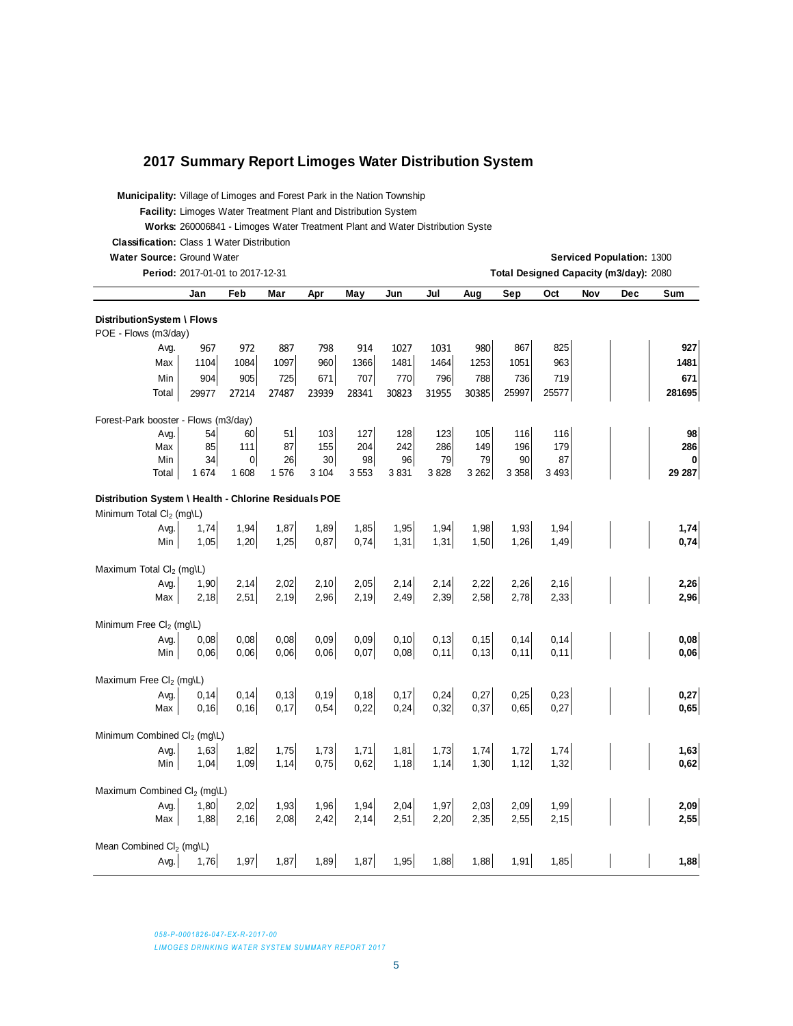#### **2017 Summary Report Limoges Water Distribution System**

| <b>Municipality:</b> Village of Limoges and Forest Park in the Nation Township |  |  |
|--------------------------------------------------------------------------------|--|--|
|                                                                                |  |  |

**Facility:** Limoges Water Treatment Plant and Distribution System

**Works:** 260006841 - Limoges Water Treatment Plant and Water Distribution System

**Classification:** Class 1 Water Distribution

| Water Source: Ground Water<br>Serviced Population: 1300<br>Period: 2017-01-01 to 2017-12-31<br>Total Designed Capacity (m3/day): 2080 |              |                |              |              |              |              |              |              |              |              |     |     |              |
|---------------------------------------------------------------------------------------------------------------------------------------|--------------|----------------|--------------|--------------|--------------|--------------|--------------|--------------|--------------|--------------|-----|-----|--------------|
|                                                                                                                                       | Jan          | Feb            | Mar          | Apr          | May          | Jun          | Jul          | Aug          | Sep          | Oct          | Nov | Dec | Sum          |
| DistributionSystem \ Flows                                                                                                            |              |                |              |              |              |              |              |              |              |              |     |     |              |
| POE - Flows (m3/day)                                                                                                                  |              |                |              |              |              |              |              |              |              |              |     |     |              |
| Avg.                                                                                                                                  | 967          | 972            | 887          | 798          | 914          | 1027         | 1031         | 980          | 867          | 825          |     |     | 927          |
| Max                                                                                                                                   | 1104         | 1084           | 1097         | 960          | 1366         | 1481         | 1464         | 1253         | 1051         | 963          |     |     | 1481         |
| Min                                                                                                                                   | 904          | 905            | 725          | 671          | 707          | 770          | 796          | 788          | 736          | 719          |     |     | 671          |
| Total                                                                                                                                 | 29977        | 27214          | 27487        | 23939        | 28341        | 30823        | 31955        | 30385        | 25997        | 25577        |     |     | 281695       |
| Forest-Park booster - Flows (m3/day)                                                                                                  |              |                |              |              |              |              |              |              |              |              |     |     |              |
| Avg.                                                                                                                                  | 54           | 60             | 51           | 103          | 127          | 128          | 123          | 105          | 116          | 116          |     |     | 98           |
| Max                                                                                                                                   | 85           | 111            | 87           | 155          | 204          | 242          | 286          | 149          | 196          | 179          |     |     | 286          |
| Min                                                                                                                                   | 34           | $\overline{0}$ | 26           | 30           | 98           | 96           | 79           | 79           | 90           | 87           |     |     | $\bf{0}$     |
| Total                                                                                                                                 | 1 674        | 1 608          | 1576         | 3 104        | 3553         | 3831         | 3828         | 3 2 6 2      | 3 3 5 8      | 3 4 9 3      |     |     | 29 287       |
| Distribution System \ Health - Chlorine Residuals POE                                                                                 |              |                |              |              |              |              |              |              |              |              |     |     |              |
| Minimum Total Cl <sub>2</sub> (mg\L)                                                                                                  |              |                |              |              |              |              |              |              |              |              |     |     |              |
| Avg.                                                                                                                                  | 1,74         | 1,94           | 1,87         | 1,89         | 1,85         | 1,95         | 1,94         | 1,98         | 1,93         | 1,94         |     |     | 1,74         |
| Min                                                                                                                                   | 1,05         | 1,20           | 1,25         | 0,87         | 0,74         | 1,31         | 1,31         | 1,50         | 1,26         | 1,49         |     |     | 0,74         |
| Maximum Total Cl <sub>2</sub> (mg\L)                                                                                                  |              |                |              |              |              |              |              |              |              |              |     |     |              |
| Avg.                                                                                                                                  | 1,90         | 2,14           | 2,02         | 2,10         | 2,05         | 2,14         | 2,14         | 2,22         | 2,26         | 2,16         |     |     | 2,26         |
| Max                                                                                                                                   | 2,18         | 2,51           | 2,19         | 2,96         | 2,19         | 2,49         | 2,39         | 2,58         | 2,78         | 2,33         |     |     | 2,96         |
| Minimum Free Cl <sub>2</sub> (mg\L)                                                                                                   |              |                |              |              |              |              |              |              |              |              |     |     |              |
| Avg.                                                                                                                                  | 0,08         | 0,08           | 0,08         | 0,09         | 0,09         | 0,10         | 0, 13        | 0, 15        | 0, 14        | 0,14         |     |     | 0,08         |
| Min                                                                                                                                   | 0,06         | 0,06           | 0.06         | 0,06         | 0,07         | 0,08         | 0,11         | 0,13         | 0,11         | 0,11         |     |     | 0,06         |
| Maximum Free Cl <sub>2</sub> (mg\L)                                                                                                   |              |                |              |              |              |              |              |              |              |              |     |     |              |
| Avg.                                                                                                                                  | 0,14         | 0,14           | 0,13         | 0, 19        | 0,18         | 0,17         | 0,24         | 0,27         | 0,25         | 0,23         |     |     | 0,27         |
| Max                                                                                                                                   | 0, 16        | 0,16           | 0,17         | 0,54         | 0,22         | 0,24         | 0,32         | 0,37         | 0,65         | 0,27         |     |     | 0,65         |
| Minimum Combined Cl <sub>2</sub> (mg\L)                                                                                               |              |                |              |              |              |              |              |              |              |              |     |     |              |
| Avg.                                                                                                                                  | 1,63         | 1,82           | 1,75         | 1,73         | 1,71         | 1,81         | 1,73         | 1,74         | 1,72         | 1,74         |     |     | 1,63         |
| Min                                                                                                                                   | 1,04         | 1,09           | 1,14         | 0,75         | 0,62         | 1,18         | 1,14         | 1,30         | 1,12         | 1,32         |     |     | 0,62         |
|                                                                                                                                       |              |                |              |              |              |              |              |              |              |              |     |     |              |
| Maximum Combined Cl <sub>2</sub> (mg\L)                                                                                               |              |                |              |              |              |              |              |              |              |              |     |     |              |
| Avg.<br>Max                                                                                                                           | 1,80<br>1,88 | 2,02<br>2,16   | 1,93<br>2,08 | 1,96<br>2,42 | 1,94<br>2,14 | 2,04<br>2,51 | 1,97<br>2,20 | 2,03<br>2,35 | 2,09<br>2,55 | 1,99<br>2,15 |     |     | 2,09<br>2,55 |
|                                                                                                                                       |              |                |              |              |              |              |              |              |              |              |     |     |              |
| Mean Combined Cl <sub>2</sub> (mg\L)                                                                                                  |              |                |              |              |              |              |              |              |              |              |     |     |              |
| Avg.                                                                                                                                  | 1,76         | 1,97           | 1,87         | 1,89         | 1,87         | 1,95         | 1,88         | 1,88         | 1,91         | 1,85         |     |     | 1,88         |

*058-P-0001826-047-EX-R-2017-00*

**LIMOGES DRINKING WATER SYSTEM SUMMARY REPORT 2017**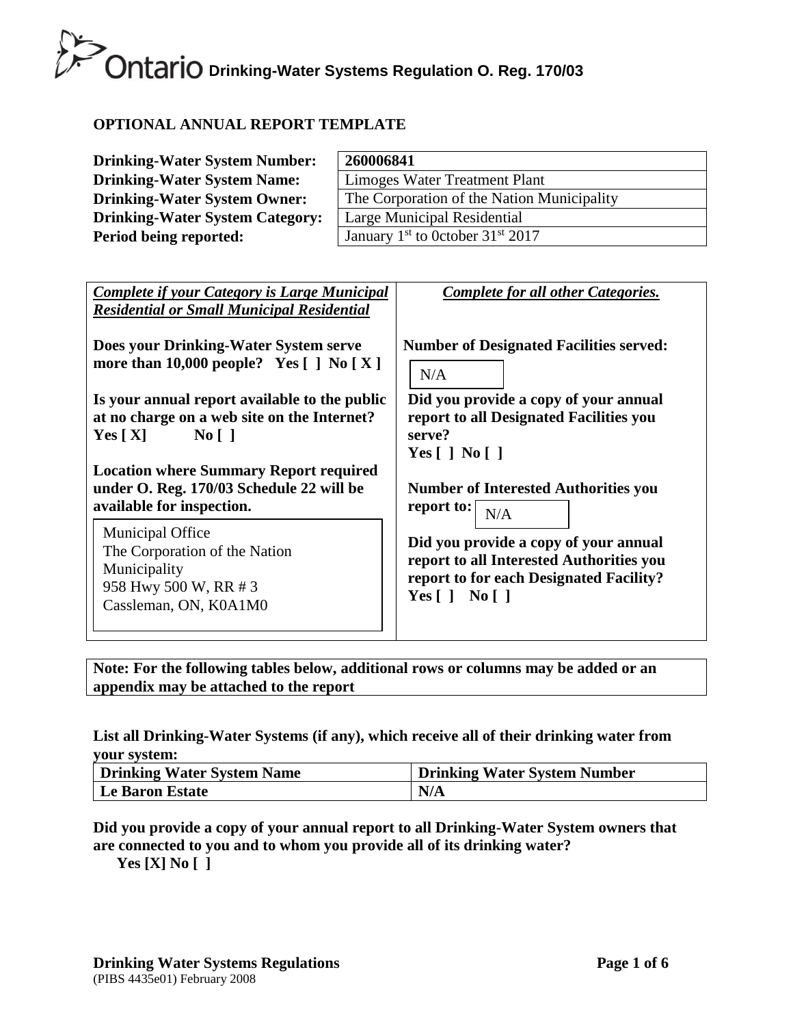# **OPTIONAL ANNUAL REPORT TEMPLATE**

| <b>Drinking-Water System Number:</b>   | 260006841                                                |
|----------------------------------------|----------------------------------------------------------|
| <b>Drinking-Water System Name:</b>     | Limoges Water Treatment Plant                            |
| <b>Drinking-Water System Owner:</b>    | The Corporation of the Nation Municipality               |
| <b>Drinking-Water System Category:</b> | Large Municipal Residential                              |
| Period being reported:                 | January 1 <sup>st</sup> to 0ctober 31 <sup>st</sup> 2017 |

| <b>Complete if your Category is Large Municipal</b><br><b>Residential or Small Municipal Residential</b>                                                                                                                               | Complete for all other Categories.                                                                                                                                        |
|----------------------------------------------------------------------------------------------------------------------------------------------------------------------------------------------------------------------------------------|---------------------------------------------------------------------------------------------------------------------------------------------------------------------------|
| Does your Drinking-Water System serve                                                                                                                                                                                                  | <b>Number of Designated Facilities served:</b>                                                                                                                            |
| more than 10,000 people? Yes $[ ]$ No $[ X ]$                                                                                                                                                                                          | N/A                                                                                                                                                                       |
| Is your annual report available to the public<br>at no charge on a web site on the Internet?<br>$\text{No} \lceil \; \rceil$<br>Yes $[X]$<br><b>Location where Summary Report required</b><br>under O. Reg. 170/03 Schedule 22 will be | Did you provide a copy of your annual<br>report to all Designated Facilities you<br>serve?<br>Yes $\lceil$   No $\lceil$  <br><b>Number of Interested Authorities you</b> |
| available for inspection.                                                                                                                                                                                                              | report to:                                                                                                                                                                |
| <b>Municipal Office</b>                                                                                                                                                                                                                | N/A                                                                                                                                                                       |
| The Corporation of the Nation                                                                                                                                                                                                          | Did you provide a copy of your annual                                                                                                                                     |
| Municipality                                                                                                                                                                                                                           | report to all Interested Authorities you                                                                                                                                  |
| 958 Hwy 500 W, RR # 3                                                                                                                                                                                                                  | report to for each Designated Facility?                                                                                                                                   |
| Cassleman, ON, K0A1M0                                                                                                                                                                                                                  | Yes $\lceil$   No $\lceil$                                                                                                                                                |

**Note: For the following tables below, additional rows or columns may be added or an appendix may be attached to the report**

# **List all Drinking-Water Systems (if any), which receive all of their drinking water from your system:**

| <b>Drinking Water System Name</b> | <b>Drinking Water System Number</b> |
|-----------------------------------|-------------------------------------|
| Le Baron Estate                   | N/A                                 |

# **Did you provide a copy of your annual report to all Drinking-Water System owners that are connected to you and to whom you provide all of its drinking water?**

**Yes [X] No [ ]**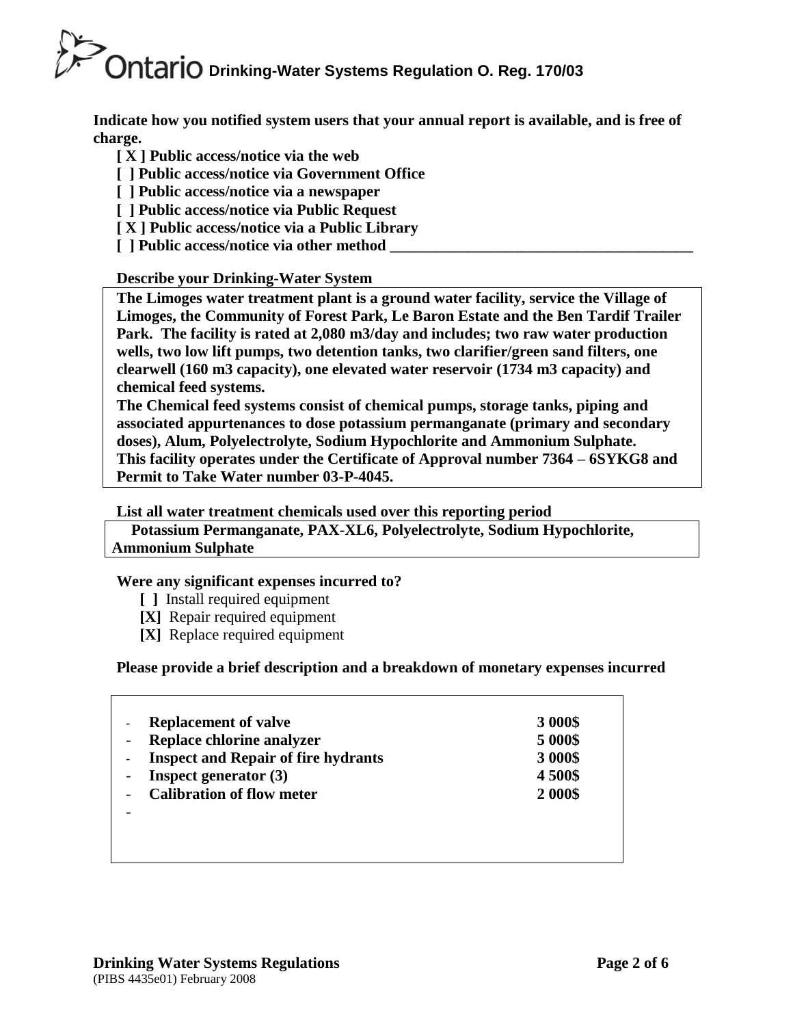**Indicate how you notified system users that your annual report is available, and is free of charge.** 

- **[ X ] Public access/notice via the web**
- **[ ] Public access/notice via Government Office**
- **[ ] Public access/notice via a newspaper**
- **[ ] Public access/notice via Public Request**
- **[ X ] Public access/notice via a Public Library**
- **[** ] Public access/notice via other method

# **Describe your Drinking-Water System**

**The Limoges water treatment plant is a ground water facility, service the Village of Limoges, the Community of Forest Park, Le Baron Estate and the Ben Tardif Trailer Park. The facility is rated at 2,080 m3/day and includes; two raw water production wells, two low lift pumps, two detention tanks, two clarifier/green sand filters, one clearwell (160 m3 capacity), one elevated water reservoir (1734 m3 capacity) and chemical feed systems.**

**The Chemical feed systems consist of chemical pumps, storage tanks, piping and associated appurtenances to dose potassium permanganate (primary and secondary doses), Alum, Polyelectrolyte, Sodium Hypochlorite and Ammonium Sulphate. This facility operates under the Certificate of Approval number 7364 – 6SYKG8 and Permit to Take Water number 03-P-4045.**

**List all water treatment chemicals used over this reporting period**

 **Potassium Permanganate, PAX-XL6, Polyelectrolyte, Sodium Hypochlorite, Ammonium Sulphate**

# **Were any significant expenses incurred to?**

- **[ ]** Install required equipment
- **[X]** Repair required equipment
- **[X]** Replace required equipment

 **Please provide a brief description and a breakdown of monetary expenses incurred**

| <b>Replacement of valve</b>                | 3 000\$ |
|--------------------------------------------|---------|
| Replace chlorine analyzer                  | 5 000\$ |
| <b>Inspect and Repair of fire hydrants</b> | 3 000\$ |
| <b>Inspect generator</b> $(3)$             | 4500\$  |
| <b>Calibration of flow meter</b>           | 2 000\$ |
|                                            |         |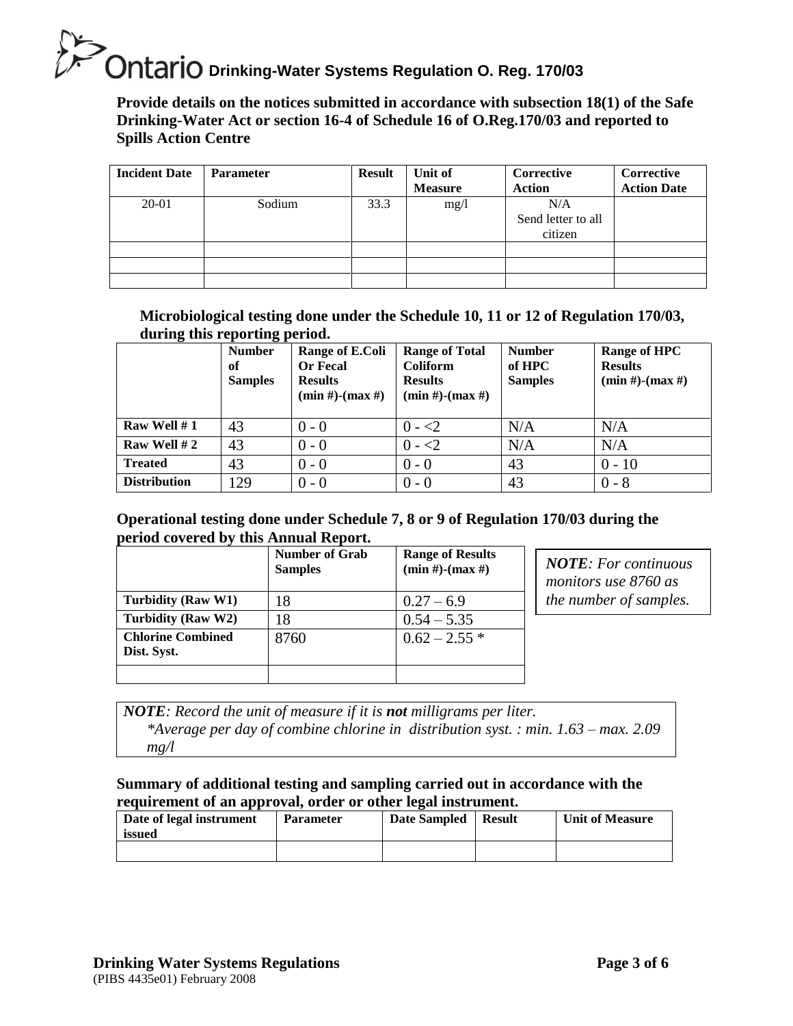**Provide details on the notices submitted in accordance with subsection 18(1) of the Safe Drinking-Water Act or section 16-4 of Schedule 16 of O.Reg.170/03 and reported to Spills Action Centre** 

| <b>Incident Date</b> | <b>Parameter</b> | <b>Result</b> | Unit of<br><b>Measure</b> | Corrective<br><b>Action</b>          | Corrective<br><b>Action Date</b> |
|----------------------|------------------|---------------|---------------------------|--------------------------------------|----------------------------------|
| 20-01                | Sodium           | 33.3          | mg/1                      | N/A<br>Send letter to all<br>citizen |                                  |
|                      |                  |               |                           |                                      |                                  |
|                      |                  |               |                           |                                      |                                  |

**Microbiological testing done under the Schedule 10, 11 or 12 of Regulation 170/03, during this reporting period.**

| ັ                   | ິ<br><b>Number</b><br>of<br><b>Samples</b> | Range of E.Coli<br><b>Or Fecal</b><br><b>Results</b><br>$(min #)$ - $(max #)$ | <b>Range of Total</b><br>Coliform<br><b>Results</b><br>$(min #)-(max #)$ | <b>Number</b><br>of HPC<br><b>Samples</b> | Range of HPC<br><b>Results</b><br>$(min #)-(max #)$ |
|---------------------|--------------------------------------------|-------------------------------------------------------------------------------|--------------------------------------------------------------------------|-------------------------------------------|-----------------------------------------------------|
| Raw Well #1         | 43                                         | $0 - 0$                                                                       | $0 - 2$                                                                  | N/A                                       | N/A                                                 |
| Raw Well #2         | 43                                         | $0 - 0$                                                                       | $0 - 2$                                                                  | N/A                                       | N/A                                                 |
| <b>Treated</b>      | 43                                         | $0 - 0$                                                                       | $0 - 0$                                                                  | 43                                        | $0 - 10$                                            |
| <b>Distribution</b> | 129                                        | $0 - 0$                                                                       | $0 - 0$                                                                  | 43                                        | $0 - 8$                                             |

# **Operational testing done under Schedule 7, 8 or 9 of Regulation 170/03 during the period covered by this Annual Report.**

|                                         | <b>Number of Grab</b><br><b>Samples</b> | <b>Range of Results</b><br>$(min #)$ - $(max #)$ |
|-----------------------------------------|-----------------------------------------|--------------------------------------------------|
| Turbidity (Raw W1)                      | 18                                      | $0.27 - 6.9$                                     |
| Turbidity (Raw W2)                      | 18                                      | $0.54 - 5.35$                                    |
| <b>Chlorine Combined</b><br>Dist. Syst. | 8760                                    | $0.62 - 2.55$ *                                  |
|                                         |                                         |                                                  |

*NOTE: For continuous monitors use 8760 as the number of samples.* 

*NOTE: Record the unit of measure if it is not milligrams per liter. \*Average per day of combine chlorine in distribution syst. : min. 1.63 – max. 2.09 mg/l*

# **Summary of additional testing and sampling carried out in accordance with the requirement of an approval, order or other legal instrument.**

| Date of legal instrument<br>issued | <b>Parameter</b> | <b>Date Sampled</b> | <b>Result</b> | <b>Unit of Measure</b> |
|------------------------------------|------------------|---------------------|---------------|------------------------|
|                                    |                  |                     |               |                        |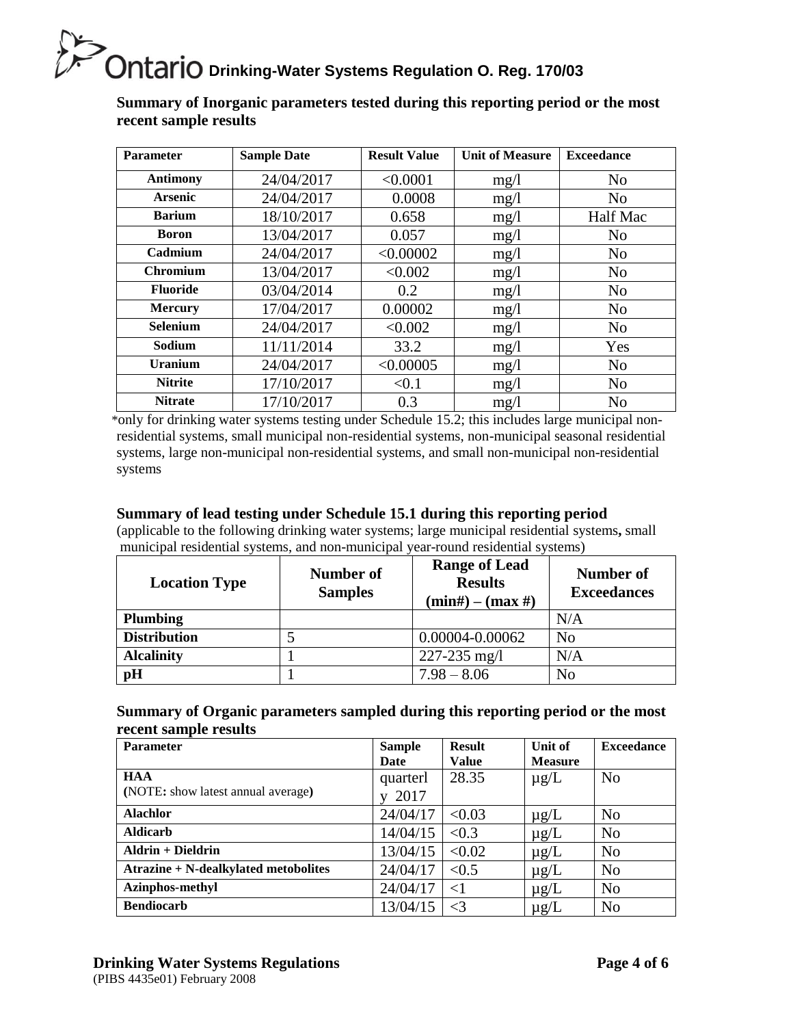**Summary of Inorganic parameters tested during this reporting period or the most recent sample results**

| <b>Parameter</b> | <b>Sample Date</b> | <b>Result Value</b> | <b>Unit of Measure</b> | <b>Exceedance</b> |
|------------------|--------------------|---------------------|------------------------|-------------------|
| <b>Antimony</b>  | 24/04/2017         | < 0.0001            | mg/1                   | N <sub>o</sub>    |
| <b>Arsenic</b>   | 24/04/2017         | 0.0008              | mg/1                   | N <sub>o</sub>    |
| <b>Barium</b>    | 18/10/2017         | 0.658               | mg/1                   | Half Mac          |
| <b>Boron</b>     | 13/04/2017         | 0.057               | mg/1                   | N <sub>o</sub>    |
| Cadmium          | 24/04/2017         | < 0.00002           | mg/1                   | N <sub>o</sub>    |
| Chromium         | 13/04/2017         | < 0.002             | mg/1                   | N <sub>o</sub>    |
| <b>Fluoride</b>  | 03/04/2014         | 0.2                 | mg/1                   | N <sub>o</sub>    |
| <b>Mercury</b>   | 17/04/2017         | 0.00002             | mg/1                   | N <sub>o</sub>    |
| <b>Selenium</b>  | 24/04/2017         | < 0.002             | mg/l                   | N <sub>o</sub>    |
| Sodium           | 11/11/2014         | 33.2                | mg/1                   | Yes               |
| <b>Uranium</b>   | 24/04/2017         | < 0.00005           | mg/1                   | N <sub>o</sub>    |
| <b>Nitrite</b>   | 17/10/2017         | < 0.1               | mg/1                   | N <sub>o</sub>    |
| <b>Nitrate</b>   | 17/10/2017         | 0.3                 | mg/l                   | N <sub>o</sub>    |

\*only for drinking water systems testing under Schedule 15.2; this includes large municipal nonresidential systems, small municipal non-residential systems, non-municipal seasonal residential systems, large non-municipal non-residential systems, and small non-municipal non-residential systems

# **Summary of lead testing under Schedule 15.1 during this reporting period**

(applicable to the following drinking water systems; large municipal residential systems**,** small municipal residential systems, and non-municipal year-round residential systems)

| <b>Location Type</b> | Number of<br><b>Samples</b> | <b>Range of Lead</b><br><b>Results</b><br>$(min#) - (max#)$ | Number of<br><b>Exceedances</b> |
|----------------------|-----------------------------|-------------------------------------------------------------|---------------------------------|
| <b>Plumbing</b>      |                             |                                                             | N/A                             |
| <b>Distribution</b>  |                             | 0.00004-0.00062                                             | N <sub>o</sub>                  |
| <b>Alcalinity</b>    |                             | $227 - 235$ mg/l                                            | N/A                             |
| pH                   |                             | $7.98 - 8.06$                                               | N <sub>o</sub>                  |

## **Summary of Organic parameters sampled during this reporting period or the most recent sample results**

| <b>Parameter</b>                     | <b>Sample</b> | <b>Result</b> | Unit of        | <b>Exceedance</b> |
|--------------------------------------|---------------|---------------|----------------|-------------------|
|                                      | Date          | <b>Value</b>  | <b>Measure</b> |                   |
| <b>HAA</b>                           | quarterl      | 28.35         | $\mu$ g/L      | N <sub>o</sub>    |
| (NOTE: show latest annual average)   | 2017          |               |                |                   |
| <b>Alachlor</b>                      | 24/04/17      | < 0.03        | $\mu$ g/L      | N <sub>o</sub>    |
| <b>Aldicarb</b>                      | 14/04/15      | < 0.3         | $\mu$ g/L      | N <sub>o</sub>    |
| $A$ ldrin + Dieldrin                 | 13/04/15      | < 0.02        | $\mu$ g/L      | N <sub>0</sub>    |
| Atrazine + N-dealkylated metobolites | 24/04/17      | < 0.5         | $\mu$ g/L      | N <sub>o</sub>    |
| Azinphos-methyl                      | 24/04/17      | $\leq$ 1      | $\mu$ g/L      | N <sub>0</sub>    |
| <b>Bendiocarb</b>                    | 13/04/15      | $\leq$ 3      | $\mu$ g/L      | N <sub>o</sub>    |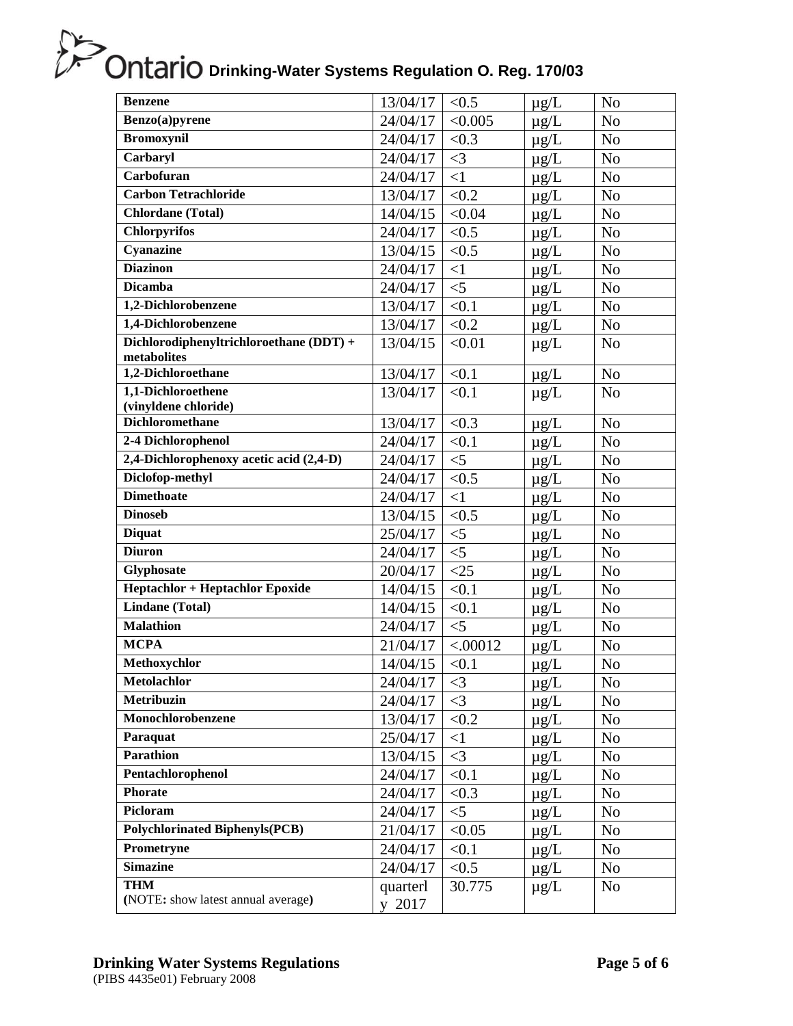| <b>Benzene</b>                                         | 13/04/17           | < 0.5    | $\mu$ g/L | N <sub>o</sub> |
|--------------------------------------------------------|--------------------|----------|-----------|----------------|
| Benzo(a)pyrene                                         | 24/04/17           | < 0.005  | $\mu$ g/L | N <sub>o</sub> |
| <b>Bromoxynil</b>                                      | 24/04/17           | < 0.3    | $\mu$ g/L | N <sub>o</sub> |
| Carbaryl                                               | 24/04/17           | $\leq$ 3 | $\mu$ g/L | N <sub>o</sub> |
| <b>Carbofuran</b>                                      | 24/04/17           | $\leq$ 1 | $\mu$ g/L | N <sub>o</sub> |
| <b>Carbon Tetrachloride</b>                            | 13/04/17           | < 0.2    | $\mu$ g/L | N <sub>o</sub> |
| <b>Chlordane</b> (Total)                               | 14/04/15           | < 0.04   | $\mu$ g/L | N <sub>o</sub> |
| <b>Chlorpyrifos</b>                                    | 24/04/17           | < 0.5    | $\mu$ g/L | N <sub>o</sub> |
| Cyanazine                                              | 13/04/15           | < 0.5    | $\mu$ g/L | N <sub>o</sub> |
| <b>Diazinon</b>                                        | 24/04/17           | $\leq$ 1 | $\mu$ g/L | N <sub>o</sub> |
| <b>Dicamba</b>                                         | 24/04/17           | $<$ 5    | $\mu$ g/L | N <sub>o</sub> |
| 1,2-Dichlorobenzene                                    | 13/04/17           | < 0.1    | $\mu$ g/L | N <sub>o</sub> |
| 1,4-Dichlorobenzene                                    | 13/04/17           | < 0.2    | $\mu$ g/L | No             |
| Dichlorodiphenyltrichloroethane (DDT) +<br>metabolites | 13/04/15           | < 0.01   | $\mu$ g/L | N <sub>o</sub> |
| 1,2-Dichloroethane                                     | 13/04/17           | < 0.1    | $\mu g/L$ | N <sub>o</sub> |
| 1,1-Dichloroethene                                     | 13/04/17           | < 0.1    | $\mu$ g/L | N <sub>o</sub> |
| (vinyldene chloride)                                   |                    |          |           |                |
| <b>Dichloromethane</b>                                 | 13/04/17           | < 0.3    | $\mu$ g/L | N <sub>o</sub> |
| 2-4 Dichlorophenol                                     | 24/04/17           | < 0.1    | $\mu$ g/L | N <sub>o</sub> |
| 2,4-Dichlorophenoxy acetic acid (2,4-D)                | 24/04/17           | $<$ 5    | $\mu$ g/L | N <sub>o</sub> |
| Diclofop-methyl                                        | 24/04/17           | < 0.5    | $\mu$ g/L | N <sub>o</sub> |
| <b>Dimethoate</b>                                      | 24/04/17           | $\leq$ 1 | $\mu g/L$ | N <sub>o</sub> |
| <b>Dinoseb</b>                                         | 13/04/15           | < 0.5    | $\mu$ g/L | N <sub>o</sub> |
| <b>Diquat</b>                                          | 25/04/17           | $<$ 5    | $\mu$ g/L | N <sub>o</sub> |
| <b>Diuron</b>                                          | 24/04/17           | $<$ 5    | $\mu$ g/L | N <sub>o</sub> |
| Glyphosate                                             | 20/04/17           | $<$ 25   | $\mu$ g/L | N <sub>o</sub> |
| <b>Heptachlor + Heptachlor Epoxide</b>                 | 14/04/15           | < 0.1    | $\mu$ g/L | N <sub>o</sub> |
| <b>Lindane</b> (Total)                                 | 14/04/15           | < 0.1    | $\mu$ g/L | N <sub>o</sub> |
| <b>Malathion</b>                                       | 24/04/17           | $<$ 5    | $\mu$ g/L | N <sub>o</sub> |
| <b>MCPA</b>                                            | 21/04/17           | < .00012 | $\mu$ g/L | N <sub>o</sub> |
| Methoxychlor                                           | 14/04/15           | < 0.1    | $\mu$ g/L | N <sub>o</sub> |
| <b>Metolachlor</b>                                     | 24/04/17           | $\leq$ 3 | $\mu$ g/L | N <sub>o</sub> |
| <b>Metribuzin</b>                                      | 24/04/17           | $\leq$ 3 | $\mu g/L$ | N <sub>o</sub> |
| Monochlorobenzene                                      | 13/04/17           | < 0.2    | $\mu$ g/L | N <sub>o</sub> |
| Paraquat                                               | 25/04/17           | <1       | $\mu g/L$ | N <sub>o</sub> |
| <b>Parathion</b>                                       | 13/04/15           | $\leq$ 3 | $\mu$ g/L | N <sub>o</sub> |
| Pentachlorophenol                                      | 24/04/17           | < 0.1    | $\mu$ g/L | No             |
| Phorate                                                | 24/04/17           | < 0.3    | $\mu$ g/L | N <sub>o</sub> |
| Picloram                                               | 24/04/17           | $<$ 5    | $\mu$ g/L | N <sub>o</sub> |
| <b>Polychlorinated Biphenyls(PCB)</b>                  | 21/04/17           | < 0.05   | $\mu$ g/L | N <sub>o</sub> |
| Prometryne                                             | 24/04/17           | < 0.1    | $\mu$ g/L | N <sub>o</sub> |
| <b>Simazine</b>                                        | 24/04/17           | < 0.5    | $\mu$ g/L | N <sub>o</sub> |
| <b>THM</b><br>(NOTE: show latest annual average)       | quarterl<br>y 2017 | 30.775   | $\mu$ g/L | N <sub>o</sub> |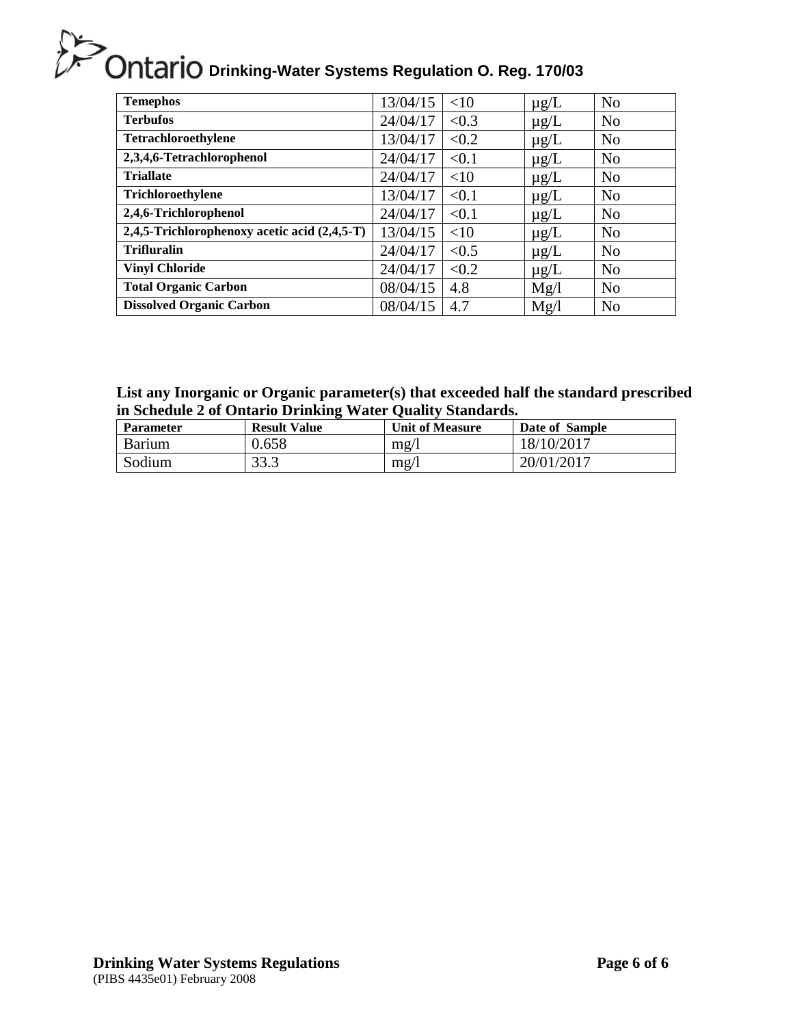| <b>Temephos</b>                              | 13/04/15 | <10   | $\mu$ g/L | N <sub>o</sub> |
|----------------------------------------------|----------|-------|-----------|----------------|
| <b>Terbufos</b>                              | 24/04/17 | < 0.3 | $\mu$ g/L | N <sub>o</sub> |
| <b>Tetrachloroethylene</b>                   | 13/04/17 | < 0.2 | $\mu$ g/L | N <sub>o</sub> |
| 2,3,4,6-Tetrachlorophenol                    | 24/04/17 | < 0.1 | $\mu$ g/L | N <sub>o</sub> |
| <b>Triallate</b>                             | 24/04/17 | <10   | $\mu$ g/L | N <sub>o</sub> |
| Trichloroethylene                            | 13/04/17 | < 0.1 | $\mu$ g/L | N <sub>o</sub> |
| 2,4,6-Trichlorophenol                        | 24/04/17 | < 0.1 | $\mu$ g/L | N <sub>o</sub> |
| 2,4,5-Trichlorophenoxy acetic acid (2,4,5-T) | 13/04/15 | <10   | $\mu$ g/L | N <sub>o</sub> |
| <b>Trifluralin</b>                           | 24/04/17 | < 0.5 | $\mu$ g/L | N <sub>o</sub> |
| <b>Vinyl Chloride</b>                        | 24/04/17 | < 0.2 | $\mu$ g/L | N <sub>o</sub> |
| <b>Total Organic Carbon</b>                  | 08/04/15 | 4.8   | Mg/l      | N <sub>o</sub> |
| <b>Dissolved Organic Carbon</b>              | 08/04/15 | 4.7   | Mg/l      | N <sub>o</sub> |

# **List any Inorganic or Organic parameter(s) that exceeded half the standard prescribed in Schedule 2 of Ontario Drinking Water Quality Standards.**

| <b>Parameter</b> | <b>Result Value</b> | <b>Unit of Measure</b> | Date of Sample |
|------------------|---------------------|------------------------|----------------|
| Barium           | 0.658               | mg/l                   | 18/10/2017     |
| Sodium           | 33.3                | mg/l                   | 20/01/2017     |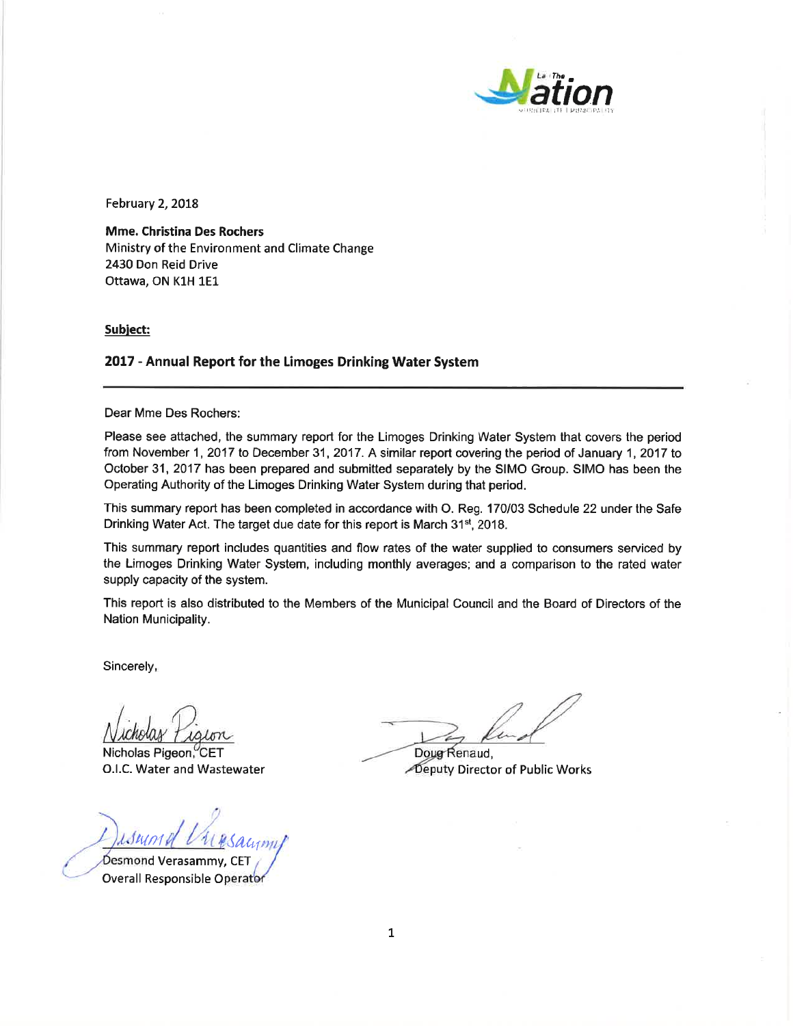

February 2, 2018

**Mme. Christina Des Rochers** Ministry of the Environment and Climate Change 2430 Don Reid Drive Ottawa, ON K1H 1E1

Subject:

#### 2017 - Annual Report for the Limoges Drinking Water System

Dear Mme Des Rochers:

Please see attached, the summary report for the Limoges Drinking Water System that covers the period from November 1, 2017 to December 31, 2017. A similar report covering the period of January 1, 2017 to October 31, 2017 has been prepared and submitted separately by the SIMO Group. SIMO has been the Operating Authority of the Limoges Drinking Water System during that period.

This summary report has been completed in accordance with O. Reg. 170/03 Schedule 22 under the Safe Drinking Water Act. The target due date for this report is March 31<sup>st</sup>, 2018.

This summary report includes quantities and flow rates of the water supplied to consumers serviced by the Limoges Drinking Water System, including monthly averages; and a comparison to the rated water supply capacity of the system.

This report is also distributed to the Members of the Municipal Council and the Board of Directors of the Nation Municipality.

Sincerely,

Nicholas Pigeon, CET O.I.C. Water and Wastewater

isum Desmond Verasammy, CET

**Overall Responsible Operator** 

Doug Renaud, Deputy Director of Public Works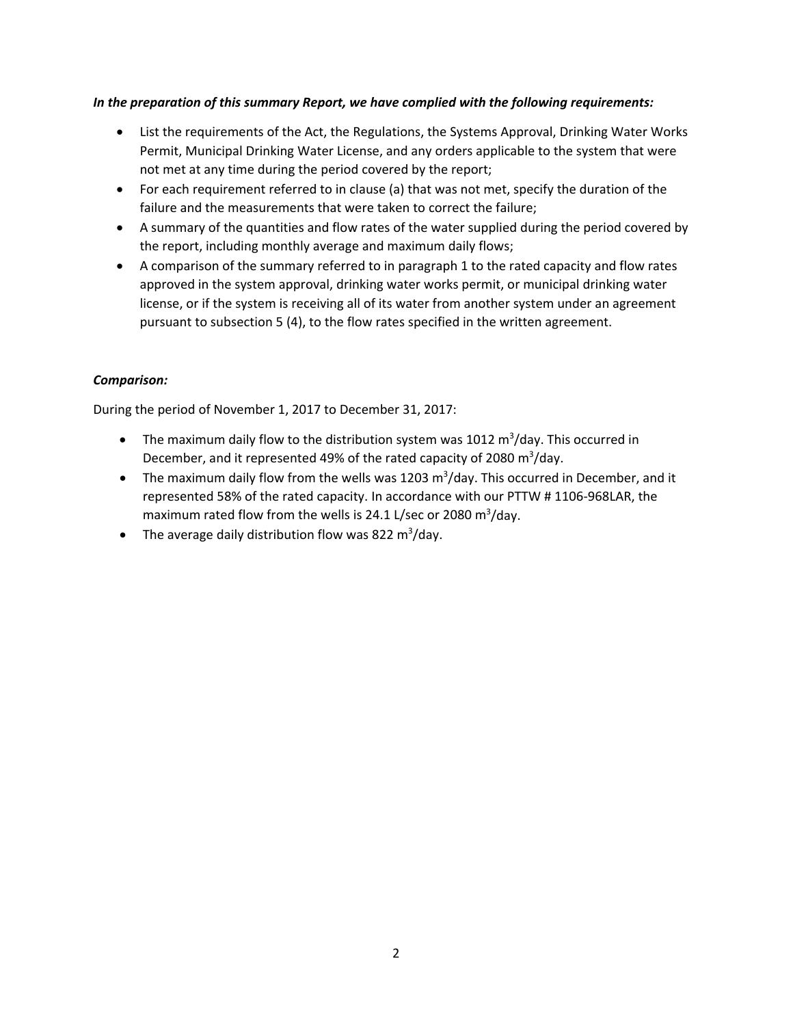## *In the preparation of this summary Report, we have complied with the following requirements:*

- List the requirements of the Act, the Regulations, the Systems Approval, Drinking Water Works Permit, Municipal Drinking Water License, and any orders applicable to the system that were not met at any time during the period covered by the report;
- For each requirement referred to in clause (a) that was not met, specify the duration of the failure and the measurements that were taken to correct the failure;
- A summary of the quantities and flow rates of the water supplied during the period covered by the report, including monthly average and maximum daily flows;
- A comparison of the summary referred to in paragraph 1 to the rated capacity and flow rates approved in the system approval, drinking water works permit, or municipal drinking water license, or if the system is receiving all of its water from another system under an agreement pursuant to subsection 5 (4), to the flow rates specified in the written agreement.

## *Comparison:*

During the period of November 1, 2017 to December 31, 2017:

- The maximum daily flow to the distribution system was 1012  $m^3$ /day. This occurred in December, and it represented 49% of the rated capacity of 2080 m<sup>3</sup>/day.
- The maximum daily flow from the wells was 1203  $m^3/d$ ay. This occurred in December, and it represented 58% of the rated capacity. In accordance with our PTTW # 1106‐968LAR, the maximum rated flow from the wells is 24.1 L/sec or 2080  $m^3$ /day.
- The average daily distribution flow was 822 m<sup>3</sup>/day.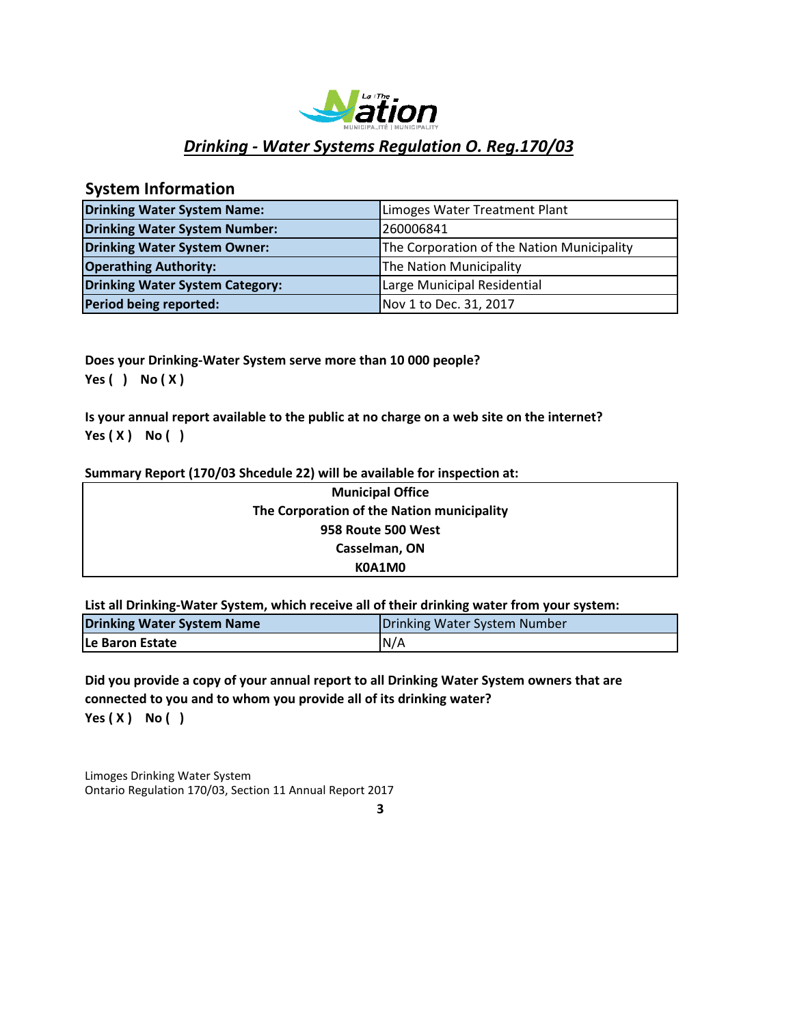

# **System Information**

| <b>Drinking Water System Name:</b>     | Limoges Water Treatment Plant              |
|----------------------------------------|--------------------------------------------|
| <b>Drinking Water System Number:</b>   | 260006841                                  |
| Drinking Water System Owner:           | The Corporation of the Nation Municipality |
| <b>Operathing Authority:</b>           | The Nation Municipality                    |
| <b>Drinking Water System Category:</b> | Large Municipal Residential                |
| Period being reported:                 | Nov 1 to Dec. 31, 2017                     |

**Does your Drinking‐Water System serve more than 10 000 people? Yes ( ) No ( X )**

**Is your annual report available to the public at no charge on a web site on the internet? Yes ( X ) No ( )**

#### **Summary Report (170/03 Shcedule 22) will be available for inspection at:**

| <b>Municipal Office</b>                    |  |
|--------------------------------------------|--|
| The Corporation of the Nation municipality |  |
| 958 Route 500 West                         |  |
| Casselman, ON                              |  |
| K0A1M0                                     |  |

**List all Drinking‐Water System, which receive all of their drinking water from your system:**

| Drinking Water System Name | Drinking Water System Number |  |
|----------------------------|------------------------------|--|
| <b>ILe Baron Estate</b>    | N/A                          |  |

**Yes ( X ) No ( ) Did you provide a copy of your annual report to all Drinking Water System owners that are connected to you and to whom you provide all of its drinking water?**

Limoges Drinking Water System Ontario Regulation 170/03, Section 11 Annual Report 2017

**3**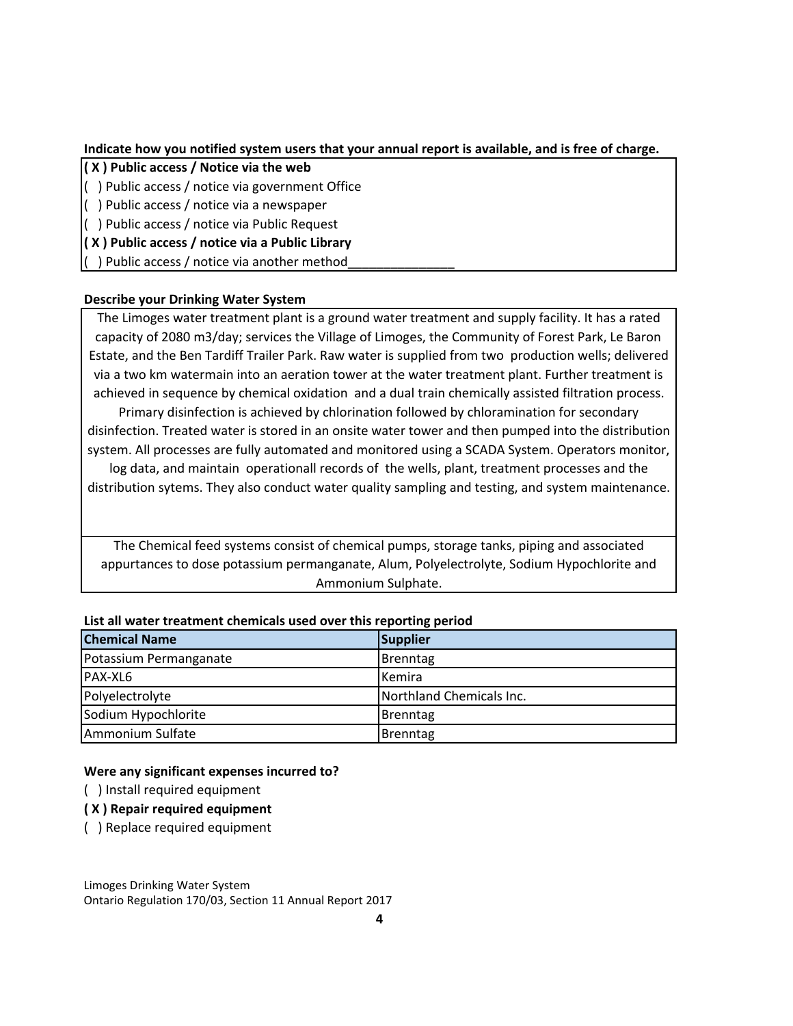### **Indicate how you notified system users that your annual report is available, and is free of charge.**

- **( X ) Public access / Notice via the web**
- ( ) Public access / notice via government Office
- ( ) Public access / notice via a newspaper
- ( ) Public access / notice via Public Request
- **( X ) Public access / notice via a Public Library**

( ) Public access / notice via another method\_\_\_\_\_\_\_\_\_\_\_\_\_\_\_

## **Describe your Drinking Water System**

The Limoges water treatment plant is a ground water treatment and supply facility. It has a rated capacity of 2080 m3/day; services the Village of Limoges, the Community of Forest Park, Le Baron Estate, and the Ben Tardiff Trailer Park. Raw water is supplied from two production wells; delivered via a two km watermain into an aeration tower at the water treatment plant. Further treatment is achieved in sequence by chemical oxidation and a dual train chemically assisted filtration process.

Primary disinfection is achieved by chlorination followed by chloramination for secondary disinfection. Treated water is stored in an onsite water tower and then pumped into the distribution system. All processes are fully automated and monitored using a SCADA System. Operators monitor,

log data, and maintain operationall records of the wells, plant, treatment processes and the distribution sytems. They also conduct water quality sampling and testing, and system maintenance.

The Chemical feed systems consist of chemical pumps, storage tanks, piping and associated appurtances to dose potassium permanganate, Alum, Polyelectrolyte, Sodium Hypochlorite and Ammonium Sulphate.

| <b>Chemical Name</b>   | <b>Supplier</b>          |
|------------------------|--------------------------|
| Potassium Permanganate | <b>Brenntag</b>          |
| PAX-XL6                | Kemira                   |
| Polyelectrolyte        | Northland Chemicals Inc. |
| Sodium Hypochlorite    | Brenntag                 |
| Ammonium Sulfate       | <b>Brenntag</b>          |

#### **List all water treatment chemicals used over this reporting period**

#### **Were any significant expenses incurred to?**

- ( ) Install required equipment
- **( X ) Repair required equipment**
- ( ) Replace required equipment

Limoges Drinking Water System Ontario Regulation 170/03, Section 11 Annual Report 2017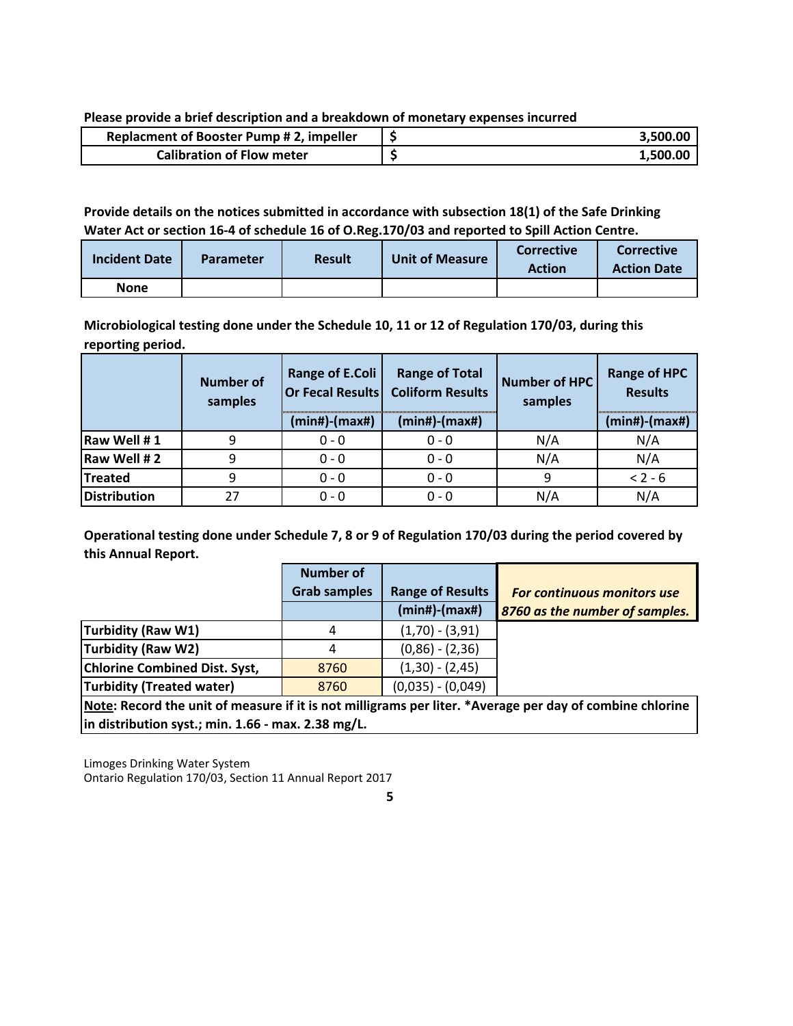**Please provide a brief description and a breakdown of monetary expenses incurred**

| <b>Replacment of Booster Pump #2, impeller</b> | 3.500.00 |
|------------------------------------------------|----------|
| <b>Calibration of Flow meter</b>               | 1.500.00 |

### **Provide details on the notices submitted in accordance with subsection 18(1) of the Safe Drinking Water Act or section 16‐4 of schedule 16 of O.Reg.170/03 and reported to Spill Action Centre.**

| <b>Incident Date</b> | <b>Parameter</b> | <b>Result</b> | <b>Unit of Measure</b> | <b>Corrective</b><br><b>Action</b> | <b>Corrective</b><br><b>Action Date</b> |
|----------------------|------------------|---------------|------------------------|------------------------------------|-----------------------------------------|
| <b>None</b>          |                  |               |                        |                                    |                                         |

**Microbiological testing done under the Schedule 10, 11 or 12 of Regulation 170/03, during this reporting period.**

|                     | <b>Number of</b><br>samples | <b>Range of E.Coli</b><br>$(min#)$ - $(max#)$ | <b>Range of Total</b><br>Or Fecal Results Coliform Results<br>(min#)-(max#) | Number of HPC<br>samples | <b>Range of HPC</b><br><b>Results</b><br>$(min#)$ - $(max#)$ |
|---------------------|-----------------------------|-----------------------------------------------|-----------------------------------------------------------------------------|--------------------------|--------------------------------------------------------------|
| Raw Well #1         |                             | $0 - 0$                                       | $0 - 0$                                                                     | N/A                      | N/A                                                          |
| Raw Well #2         | 9                           | $0 - 0$                                       | $0 - 0$                                                                     | N/A                      | N/A                                                          |
| <b>Treated</b>      | 9                           | $0 - 0$                                       | $0 - 0$                                                                     | 9                        | $< 2 - 6$                                                    |
| <b>Distribution</b> | 27                          | $0 - 0$                                       | $0 - 0$                                                                     | N/A                      | N/A                                                          |

**Operational testing done under Schedule 7, 8 or 9 of Regulation 170/03 during the period covered by this Annual Report.**

|                                                                                                                 | <b>Number of</b>    |                         |                                    |
|-----------------------------------------------------------------------------------------------------------------|---------------------|-------------------------|------------------------------------|
|                                                                                                                 | <b>Grab samples</b> | <b>Range of Results</b> | <b>For continuous monitors use</b> |
|                                                                                                                 |                     | $(min#)-(max#)$         | 8760 as the number of samples.     |
| Turbidity (Raw W1)                                                                                              | 4                   | $(1,70) - (3,91)$       |                                    |
| Turbidity (Raw W2)                                                                                              | 4                   | $(0,86) - (2,36)$       |                                    |
| <b>Chlorine Combined Dist. Syst,</b>                                                                            | 8760                | $(1,30) - (2,45)$       |                                    |
| <b>Turbidity (Treated water)</b>                                                                                | 8760                | $(0,035) - (0,049)$     |                                    |
| Ataka, Baasad klassist of magazing that to gat millions magnitude. A Accounty magnitud of specialist schlasting |                     |                         |                                    |

Note: Record the unit of measure if it is not milligrams per liter. \*Average per day of combine chlorine **in distribution syst.; min. 1.66 ‐ max. 2.38 mg/L.**

Limoges Drinking Water System Ontario Regulation 170/03, Section 11 Annual Report 2017

**5**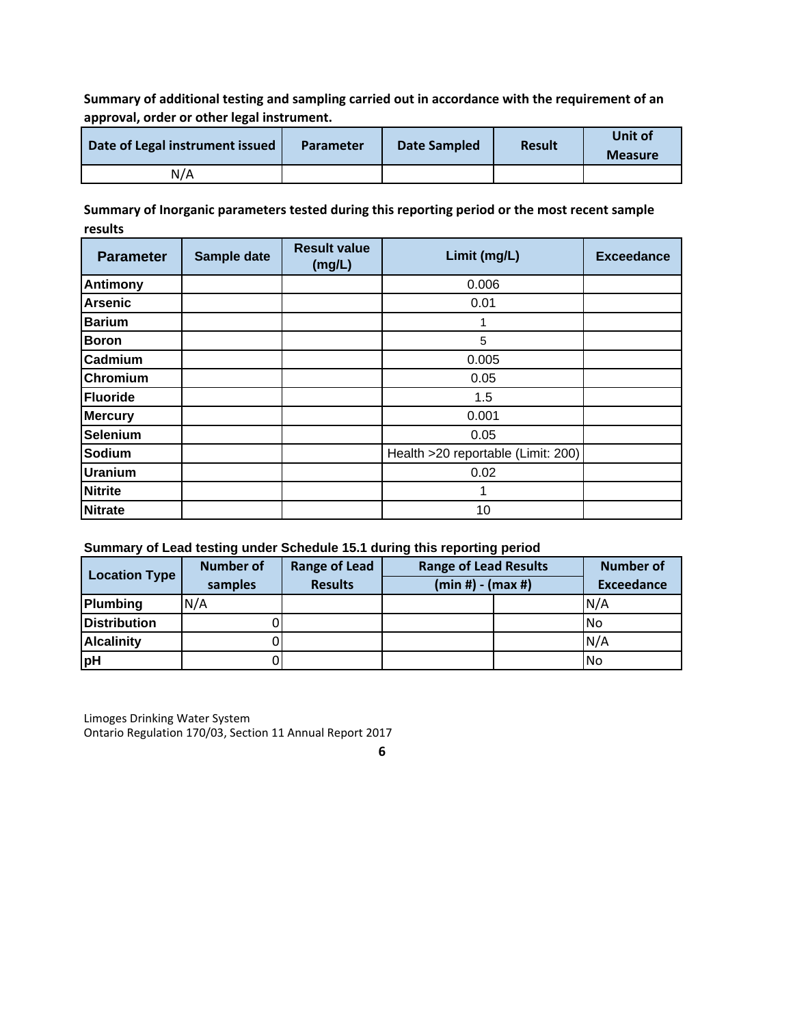**Summary of additional testing and sampling carried out in accordance with the requirement of an approval, order or other legal instrument.**

| Date of Legal instrument issued | <b>Parameter</b> | Date Sampled | <b>Result</b> | Unit of<br><b>Measure</b> |
|---------------------------------|------------------|--------------|---------------|---------------------------|
| N/A                             |                  |              |               |                           |

**Summary of Inorganic parameters tested during this reporting period or the most recent sample results**

| <b>Parameter</b> | Sample date | <b>Result value</b><br>(mg/L) | Limit (mg/L)                       | <b>Exceedance</b> |
|------------------|-------------|-------------------------------|------------------------------------|-------------------|
| <b>Antimony</b>  |             |                               | 0.006                              |                   |
| <b>Arsenic</b>   |             |                               | 0.01                               |                   |
| <b>Barium</b>    |             |                               | 1                                  |                   |
| <b>Boron</b>     |             |                               | 5                                  |                   |
| Cadmium          |             |                               | 0.005                              |                   |
| Chromium         |             |                               | 0.05                               |                   |
| <b>Fluoride</b>  |             |                               | 1.5                                |                   |
| <b>Mercury</b>   |             |                               | 0.001                              |                   |
| <b>Selenium</b>  |             |                               | 0.05                               |                   |
| Sodium           |             |                               | Health >20 reportable (Limit: 200) |                   |
| <b>Uranium</b>   |             |                               | 0.02                               |                   |
| <b>Nitrite</b>   |             |                               | 1                                  |                   |
| <b>Nitrate</b>   |             |                               | 10                                 |                   |

### **Summary of Lead testing under Schedule 15.1 during this reporting period**

| <b>Location Type</b> | <b>Number of</b><br>samples | <b>Range of Lead</b><br><b>Results</b> | <b>Range of Lead Results</b><br>$(min #) - (max #)$ |  | <b>Number of</b><br><b>Exceedance</b> |
|----------------------|-----------------------------|----------------------------------------|-----------------------------------------------------|--|---------------------------------------|
| <b>Plumbing</b>      | N/A                         |                                        |                                                     |  | N/A                                   |
| <b>Distribution</b>  |                             |                                        |                                                     |  | No                                    |
| <b>Alcalinity</b>    |                             |                                        |                                                     |  | N/A                                   |
| <b>pH</b>            |                             |                                        |                                                     |  | No                                    |

Limoges Drinking Water System Ontario Regulation 170/03, Section 11 Annual Report 2017

**<sup>6</sup>**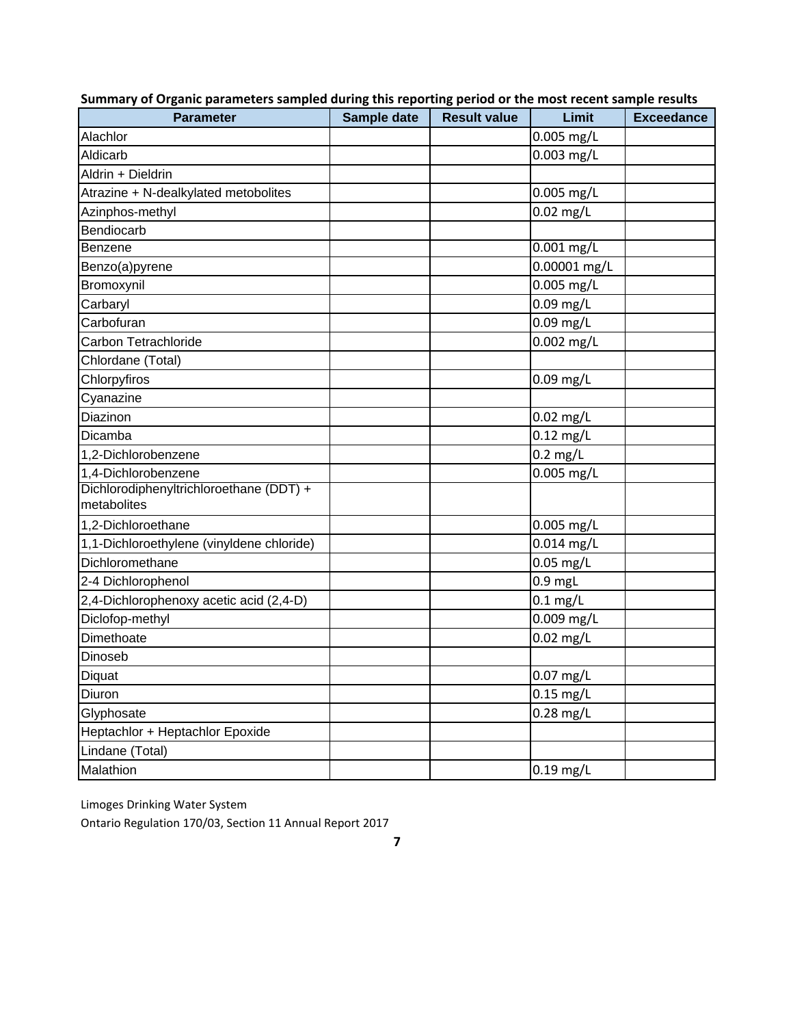| <b>Parameter</b>                          | Sample date | <b>Result value</b> | Limit               | <b>Exceedance</b> |
|-------------------------------------------|-------------|---------------------|---------------------|-------------------|
| Alachlor                                  |             |                     | $0.005$ mg/L        |                   |
| Aldicarb                                  |             |                     | 0.003 mg/L          |                   |
| Aldrin + Dieldrin                         |             |                     |                     |                   |
| Atrazine + N-dealkylated metobolites      |             |                     | $0.005$ mg/L        |                   |
| Azinphos-methyl                           |             |                     | 0.02 mg/L           |                   |
| Bendiocarb                                |             |                     |                     |                   |
| <b>Benzene</b>                            |             |                     | $0.001$ mg/L        |                   |
| Benzo(a)pyrene                            |             |                     | 0.00001 mg/L        |                   |
| Bromoxynil                                |             |                     | 0.005 mg/L          |                   |
| Carbaryl                                  |             |                     | 0.09 mg/L           |                   |
| Carbofuran                                |             |                     | 0.09 mg/L           |                   |
| Carbon Tetrachloride                      |             |                     | 0.002 mg/L          |                   |
| Chlordane (Total)                         |             |                     |                     |                   |
| Chlorpyfiros                              |             |                     | $0.09$ mg/L         |                   |
| Cyanazine                                 |             |                     |                     |                   |
| Diazinon                                  |             |                     | $0.02$ mg/L         |                   |
| Dicamba                                   |             |                     | $0.12$ mg/L         |                   |
| 1,2-Dichlorobenzene                       |             |                     | $0.2$ mg/L          |                   |
| 1,4-Dichlorobenzene                       |             |                     | 0.005 mg/L          |                   |
| Dichlorodiphenyltrichloroethane (DDT) +   |             |                     |                     |                   |
| metabolites                               |             |                     |                     |                   |
| 1,2-Dichloroethane                        |             |                     | 0.005 mg/L          |                   |
| 1,1-Dichloroethylene (vinyldene chloride) |             |                     | 0.014 mg/L          |                   |
| Dichloromethane                           |             |                     | $0.05$ mg/L         |                   |
| 2-4 Dichlorophenol                        |             |                     | $0.9$ mgL           |                   |
| 2,4-Dichlorophenoxy acetic acid (2,4-D)   |             |                     | $0.1$ mg/L          |                   |
| Diclofop-methyl                           |             |                     | 0.009 mg/L          |                   |
| Dimethoate                                |             |                     | $0.02$ mg/L         |                   |
| Dinoseb                                   |             |                     |                     |                   |
| Diquat                                    |             |                     | $0.07$ mg/L         |                   |
| Diuron                                    |             |                     | $0.15 \text{ mg/L}$ |                   |
| Glyphosate                                |             |                     | 0.28 mg/L           |                   |
| Heptachlor + Heptachlor Epoxide           |             |                     |                     |                   |
| Lindane (Total)                           |             |                     |                     |                   |
| Malathion                                 |             |                     | $0.19$ mg/L         |                   |

# **Summary of Organic parameters sampled during this reporting period or the most recent sample results**

Limoges Drinking Water System

Ontario Regulation 170/03, Section 11 Annual Report 2017